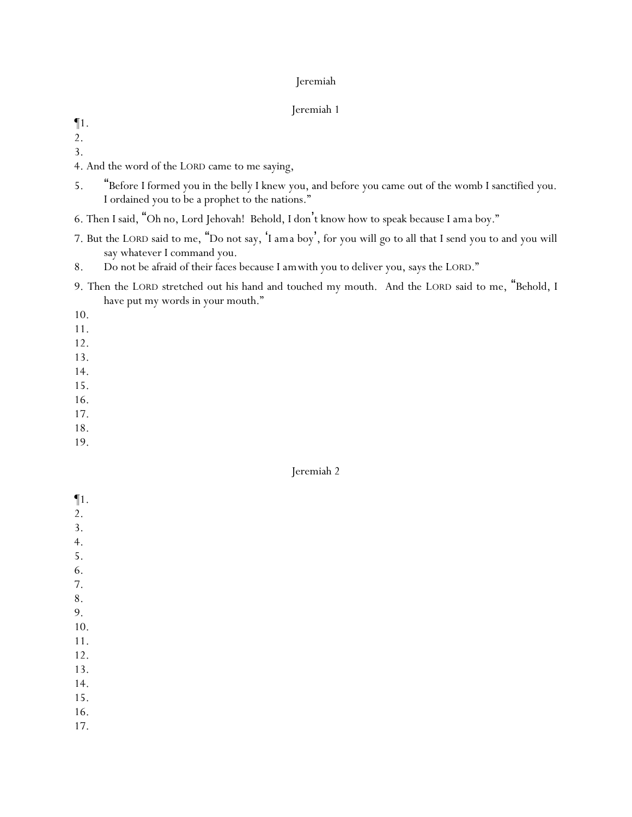#### Jeremiah 1

¶1.

2.

- 3.
- 4. And the word of the LORD came to me saying,
- 5. "Before I formed you in the belly I knew you, and before you came out of the womb I sanctified you. I ordained you to be a prophet to the nations."
- 6. Then I said, "Oh no, Lord Jehovah! Behold, I don't know how to speak because I *am*a boy."
- 7. But the LORD said to me, "Do not say, 'I *am*a boy', for you will go to all that I send you to and you will say whatever I command you.
- 8. Do not be afraid of their faces because I *am*with you to deliver you, says the LORD."
- 9. Then the LORD stretched out his hand and touched my mouth. And the LORD said to me, "Behold, I have put my words in your mouth."

10.

- 11.
- 12. 13.
- 14.
- 15.
- 16.
- 17.
- 18.
- 19.

- ¶1.
- 2.
- 3. 4.
- 5.
- 6.
- 7.
- 8.
- 9.
- 10.
- 11.
- 12.
- 13.
- 14.
- 15.
- 16.
- 17.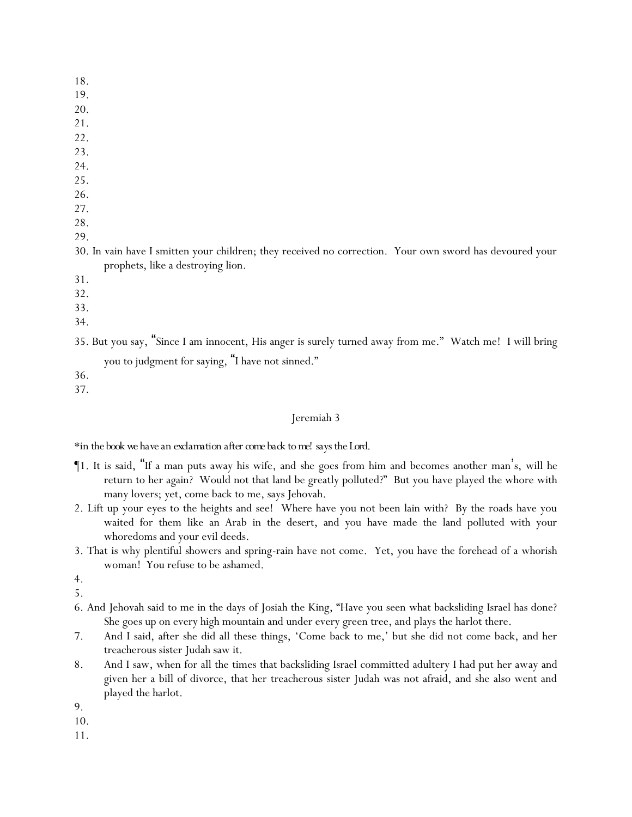- 18.
- 19.
- 20.
- 21.
- 22.
- 23.
- 24.
- 25.
- 26.
- 27.
- 28. 29.
- 30. In vain have I smitten your children; they received no correction. Your own sword has devoured your prophets, like a destroying lion.
- 31.
- 32.
- 33.
- 34.

# 35. But you say, "Since I am innocent, His anger is surely turned away from me." Watch me! I will bring you to judgment for saying, "I have not sinned."

36.

37.

## Jeremiah 3

*\*in the book we have an exclamation after come back to me! says the Lord.*

- ¶1. It is said, "If a man puts away his wife, and she goes from him and becomes another man's, will he return to her again? Would not that land be greatly polluted?" But you have played the whore with many lovers; yet, come back to me, says Jehovah.
- 2. Lift up your eyes to the heights and see! Where have you not been lain with? By the roads have you waited for them like an Arab in the desert, and you have made the land polluted with your whoredoms and your evil deeds.
- 3. That is why plentiful showers and spring-rain have not come. Yet, you have the forehead of a whorish woman! You refuse to be ashamed.
- 4.
- 5.
- 6. And Jehovah said to me in the days of Josiah the King, "Have you seen what backsliding Israel has done? She goes up on every high mountain and under every green tree, and plays the harlot there.
- 7. And I said, after she did all these things, 'Come back to me,' but she did not come back, and her treacherous sister Judah saw it.
- 8. And I saw, when for all the times that backsliding Israel committed adultery I had put her away and given her a bill of divorce, that her treacherous sister Judah was not afraid, and she also went and played the harlot.
- 9.

10.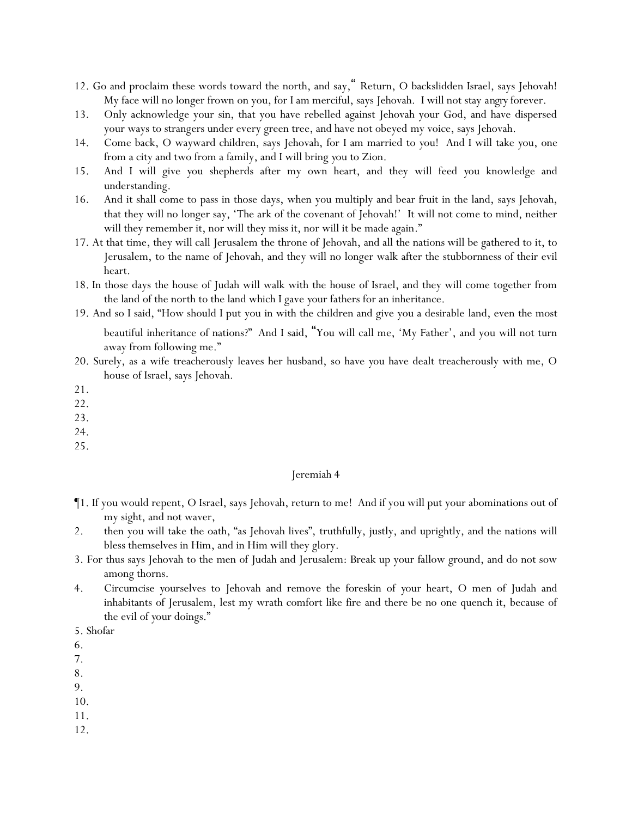- 12. Go and proclaim these words toward the north, and say," Return, O backslidden Israel, says Jehovah! My face will no longer frown on you, for I am merciful, says Jehovah. I will not stay *angry* forever.
- 13. Only acknowledge your sin, that you have rebelled against Jehovah your God, and have dispersed your ways to strangers under every green tree, and have not obeyed my voice, says Jehovah.
- 14. Come back, O wayward children, says Jehovah, for I am married to *y*ou! And I will take *y*ou, one from a city and two from a family, and I will bring *y*ou to Zion.
- 15. And I will give *y*ou shepherds after my own heart, and they will feed *y*ou knowledge and understanding.
- 16. And it shall come to pass in those days, when you multiply and bear fruit in the land, says Jehovah, that they will no longer say, 'The ark of the covenant of Jehovah!' It will not come to mind, neither will they remember it, nor will they miss it, nor will it be made again."
- 17. At that time, they will call Jerusalem the throne of Jehovah, and all the nations will be gathered to it, to Jerusalem, to the name of Jehovah, and they will no longer walk after the stubbornness of their evil heart.
- 18. In those days the house of Judah will walk with the house of Israel, and they will come together from the land of the north to the land which I gave *y*our fathers for an inheritance.
- 19. And so I said, "How should I put you in with the children and give you a desirable land, even the most beautiful inheritance of nations?" And I said, "You will call me, 'My Father', and you will not turn away from following me."
- 20. Surely, as a wife treacherously leaves her husband, so have *y*ou have dealt treacherously with me, O house of Israel, says Jehovah.
- 21.
- 22.
- 23.
- 24.
- 25.

- ¶1. If you would repent, O Israel, says Jehovah, return to me! And if you will put your abominations out of my sight, and not waver,
- 2. then you will take the oath, "as Jehovah lives", truthfully, justly, and uprightly, and the nations will bless themselves in Him, and in Him will they glory.
- 3. For thus says Jehovah to the men of Judah and Jerusalem: Break up your fallow ground, and do not sow among thorns.
- 4. Circumcise *y*ourselves to Jehovah and remove the foreskin of *y*our heart, O men of Judah and inhabitants of Jerusalem, lest my wrath comfort like fire and there be no one quench it, because of the evil of *y*our doings."

6.

7.

8.

9.

10.

11.

<sup>5.</sup> Shofar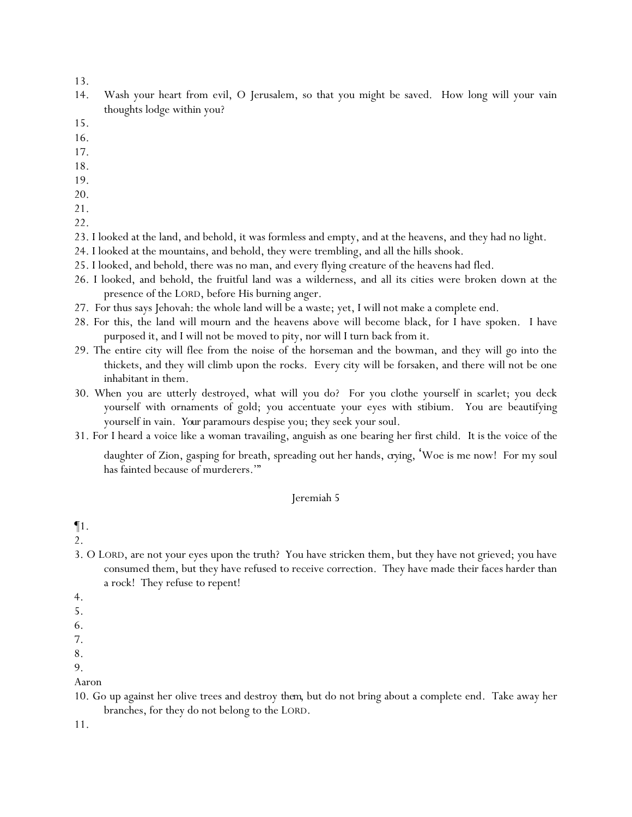- 14. Wash your heart from evil, O Jerusalem, so that you might be saved. How long will your vain thoughts lodge within you?
- 15.
- 16.
- 17.
- 18.
- 19.
- 20.
- 21.
- 22.
- 23. I looked at the land, and behold, it was formless and empty, and at the heavens, and they had no light.
- 24. I looked at the mountains, and behold, they were trembling, and all the hills shook.
- 25. I looked, and behold, there was no man, and every flying creature of the heavens had fled.
- 26. I looked, and behold, the fruitful land was a wilderness, and all its cities were broken down at the presence of the LORD, before His burning anger.
- 27. For thus says Jehovah: the whole land will be a waste; yet, I will not make a complete end.
- 28. For this, the land will mourn and the heavens above will become black, for I have spoken. I have purposed it, and I will not be moved to pity, nor will I turn back from it.
- 29. The entire city will flee from the noise of the horseman and the bowman, and they will go into the thickets, and they will climb upon the rocks. Every city will be forsaken, and there will not be one inhabitant in them.
- 30. When you are utterly destroyed, what will you do? For you clothe yourself in scarlet; you deck yourself with ornaments of gold; you accentuate your eyes with stibium. You are beautifying yourself in vain. *Your* paramours despise you; they seek your soul.
- 31. For I heard a voice like a woman travailing, anguish as one bearing her first child. *It is* the voice of the

daughter of Zion, gasping for breath, spreading out her hands, *crying*, 'Woe is me now! For my soul has fainted because of murderers.'"

#### Jeremiah 5

## ¶1.

2.

- 3. O LORD, are not your eyes upon the truth? You have stricken them, but they have not grieved; you have consumed them, but they have refused to receive correction. They have made their faces harder than a rock! They refuse to repent!
- 4.
- 5.
- 6.
- 7.
- 8. 9.
- 
- Aaron
- 10. Go up against her olive trees and destroy *them*, but do not bring about a complete end. Take away her branches, for they do not belong to the LORD.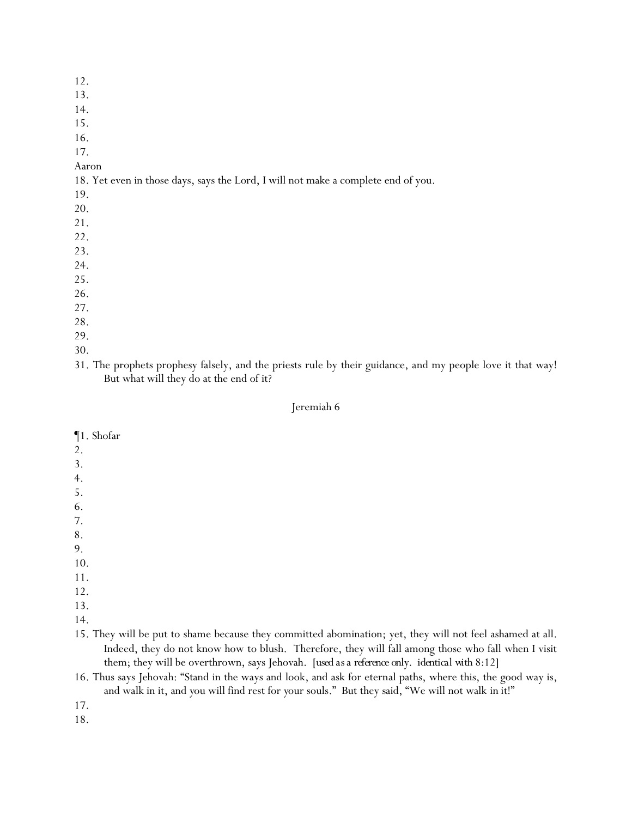- 13.
- 14.
- 15.

16.

17.

Aaron

18. Yet even in those days, says the Lord, I will not make a complete end of you.

- 19.
- 20.
- 21.
- 22.
- 23.
- 24. 25.
- 26.
- 27.
- 28.
- 29.
- 30.

31. The prophets prophesy falsely, and the priests rule by their guidance, and my people love it that way! But what will they do at the end of it?

#### Jeremiah 6

- ¶1. Shofar 2. 3. 4.
- 5.
- 6.
- 7.
- 8.
- 9.
- 10.
- 11.
- 12.
- 13.
- 14.

15. They will be put to shame because they committed abomination; yet, they will not feel ashamed at all. Indeed, they do not know how to blush. Therefore, they will fall among those who fall when I visit them; they will be overthrown, says Jehovah. [*used as a reference only. identical with 8:12*]

16. Thus says Jehovah: "Stand in the ways and look, and ask for eternal paths, where this, the good way is, and walk in it, and *y*ou will find rest for *y*our souls." But they said, "We will not walk *in it*!"

17.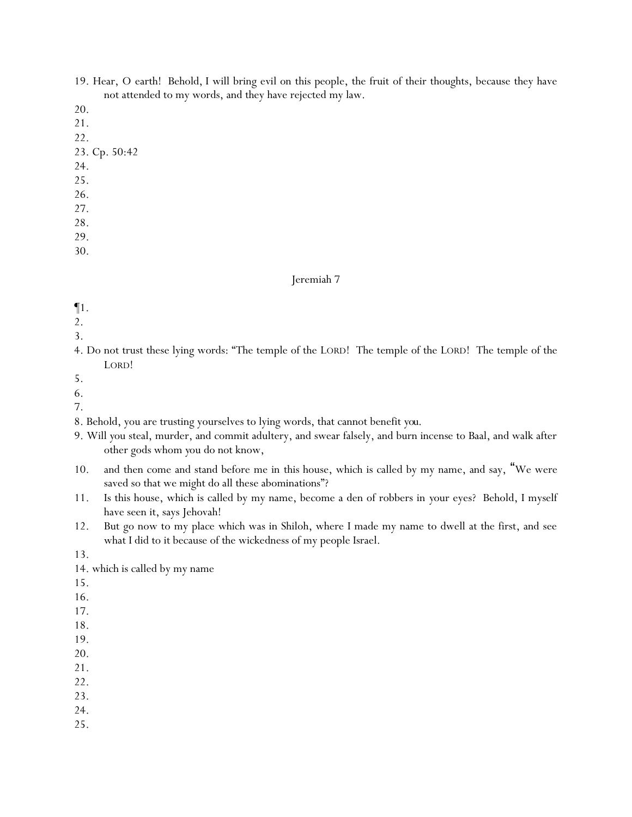- 19. Hear, O earth! Behold, I will bring evil on this people, the fruit of their thoughts, because they have not attended to my words, and they have rejected my law.
- 20.
- 21.
- 22.
- 23. Cp. 50:42
- 24.
- 25.
- 26.
- 27.
- 28.
- 29.
- 30.

- ¶1.
- 2.
- 3.
- 4. Do not trust these lying words: "The temple of the LORD! The temple of the LORD! The temple of the LORD!
- 5.
- 6.
- 7.
- 8. Behold, you are trusting yourselves to lying words, that cannot benefit *you*.
- 9. Will *y*ou steal, murder, and commit adultery, and swear falsely, and burn incense to Baal, and walk after other gods whom *y*ou do not know,
- 10. and then come and stand before me in this house, which is called by my name, and say, "We were saved so that we might do all these abominations"?
- 11. Is this house, which is called by my name, become a den of robbers in *y*our eyes? Behold, I myself have seen it, says Jehovah!
- 12. But go now to my place which was in Shiloh, where I made my name to dwell at the first, and see what I did to it because of the wickedness of my people Israel.
- 13.

14. which is called by my name

- 15.
- 16.
- 17.
- 18.
- 19.
- 20.
- 21.
- 22.
- 23.
- 24.
- 25.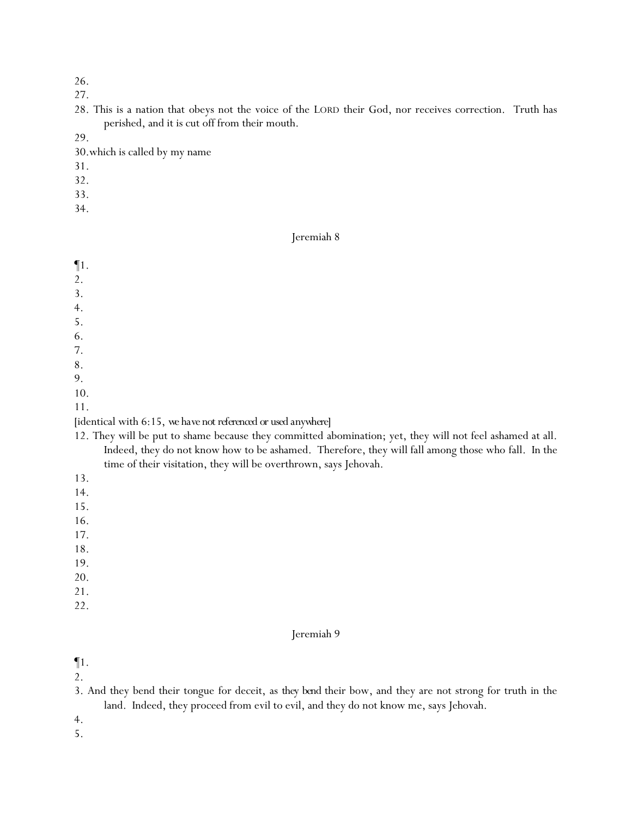27.

28. This is a nation that obeys not the voice of the LORD their God, nor receives correction. Truth has perished, and it is cut off from their mouth.

29.

- 30.which is called by my name
- 31.
- 32.
- 33.
- 34.

#### Jeremiah 8

¶1.

- 2.
- 3.
- 4.
- 5.
- 6.
- 7.
- 8.
- 9.
- 10.
- 11.

## [identical with 6:15, *we have not referenced or used anywhere*]

- 12. They will be put to shame because they committed abomination; yet, they will not feel ashamed at all. Indeed, they do not know how to be ashamed. Therefore, they will fall among those who fall. In the time of their visitation, they will be overthrown, says Jehovah.
- 13.
- 14.
- 15.
- 16.
- 17.
- 18.
- 19.
- 20.
- 21.

# 22.

## Jeremiah 9

¶1.

- 2.
- 3. And they bend their tongue for deceit, as *they bend* their bow, and they are not strong for truth in the land. Indeed, they proceed from evil to evil, and they do not know me, says Jehovah.

4.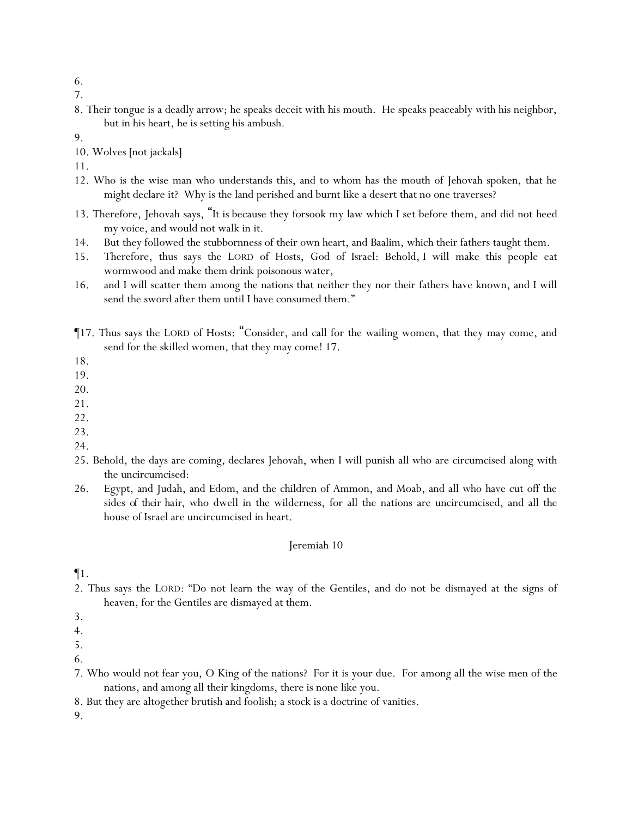6. 7.

8. Their tongue is a deadly arrow; he speaks deceit with his mouth. He speaks peaceably with his neighbor, but in his heart, he is setting his ambush.

9.

10. Wolves [not jackals]

11.

- 12. Who is the wise man who understands this, and to whom has the mouth of Jehovah spoken, that he might declare it? Why is the land perished and burnt like a desert that no one traverses?
- 13. Therefore, Jehovah says, "*It is* because they forsook my law which I set before them, and did not heed my voice, and would not walk in it.
- 14. But they followed the stubbornness of their own heart, and Baalim, which their fathers taught them.
- 15. Therefore, thus says the LORD of Hosts, God of Israel: Behold, I will make this people eat wormwood and make them drink poisonous water,
- 16. and I will scatter them among the nations that neither they nor their fathers have known, and I will send the sword after them until I have consumed them."
- ¶17. Thus says the LORD of Hosts: "Consider, and call for the wailing women, that they may come, and send for the skilled women, that they may come! 17.

18.

- 19.
- 20.
- 21.
- 22.
- 23. 24.
- 25. Behold, the days are coming, declares Jehovah, when I will punish all who are circumcised along with the uncircumcised:
- 26. Egypt, and Judah, and Edom, and the children of Ammon, and Moab, and all who have cut off the sides *of their hair*, who dwell in the wilderness, for all the nations are uncircumcised, and all the house of Israel are uncircumcised in heart.

#### Jeremiah 10

¶1.

2. Thus says the LORD: "Do not learn the way of the Gentiles, and do not be dismayed at the signs of heaven, for the Gentiles are dismayed at them.

- 6.
- 7. Who would not fear you, O King of the nations? For it is your due. For among all the wise men of the nations, and among all their kingdoms, there is none like you.
- 8. But they are altogether brutish and foolish; a stock is a doctrine of vanities.

<sup>3.</sup>

<sup>4.</sup>

<sup>5.</sup>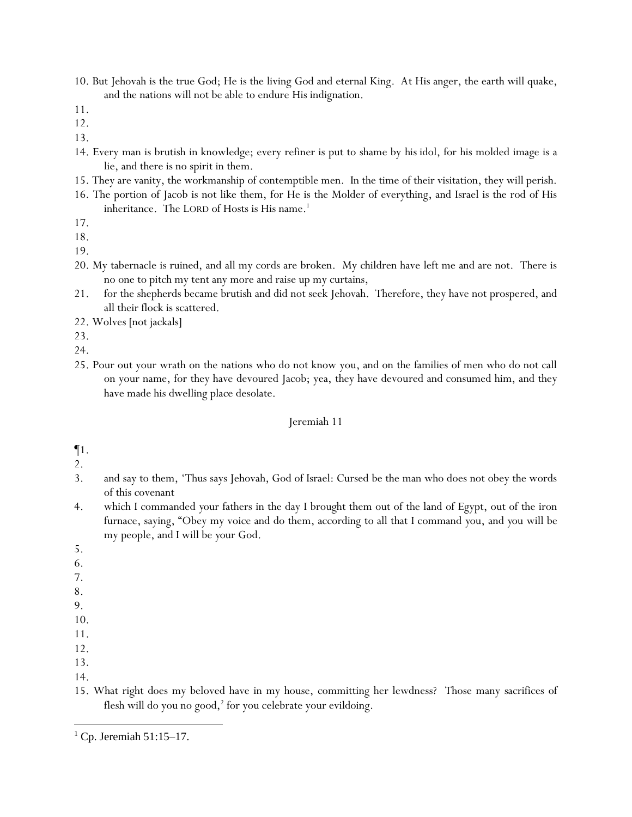10. But Jehovah is the true God; He is the living God and eternal King. At His anger, the earth will quake, and the nations will not be able to endure His indignation.

- 12.
- 13.
- 14. Every man is brutish in knowledge; every refiner is put to shame by *his* idol, for his molded image is a lie, and there is no spirit in them.
- 15. They are vanity, the workmanship of contemptible men. In the time of their visitation, they will perish.
- 16. The portion of Jacob is not like them, for He is the Molder of everything, and Israel is the rod of His inheritance. The LORD of Hosts is His name.<sup>1</sup>

- 18.
- 19.
- 20. My tabernacle is ruined, and all my cords are broken. My children have left me and are not. There is no one to pitch my tent any more and raise up my curtains,
- 21. for the shepherds became brutish and did not seek Jehovah. Therefore, they have not prospered, and all their flock is scattered.
- 22. Wolves [not jackals]
- 23.
- 24.
- 25. Pour out your wrath on the nations who do not know you, and on the families of men who do not call on your name, for they have devoured Jacob; yea, they have devoured and consumed him, and they have made his dwelling place desolate.

- ¶1.
- 2.
- 3. and say to them, 'Thus says Jehovah, God of Israel: Cursed be the man who does not obey the words of this covenant
- 4. which I commanded *y*our fathers in the day I brought them out of the land of Egypt, out of the iron furnace, saying, "Obey my voice and do them, according to all that I command *y*ou, and *y*ou will be my people, and I will be *y*our God.
- 5.
- 6.
- 7.
- 8.
- 9.
- 10.
- 11.
- 12.
- 13.
- 14.
- 15. What right does my beloved have in my house, committing her lewdness? Those many sacrifices of flesh will do you no good,<sup>2</sup> for you celebrate your evildoing.

<sup>11.</sup>

<sup>17.</sup>

 $<sup>1</sup>$  Cp. Jeremiah 51:15–17.</sup>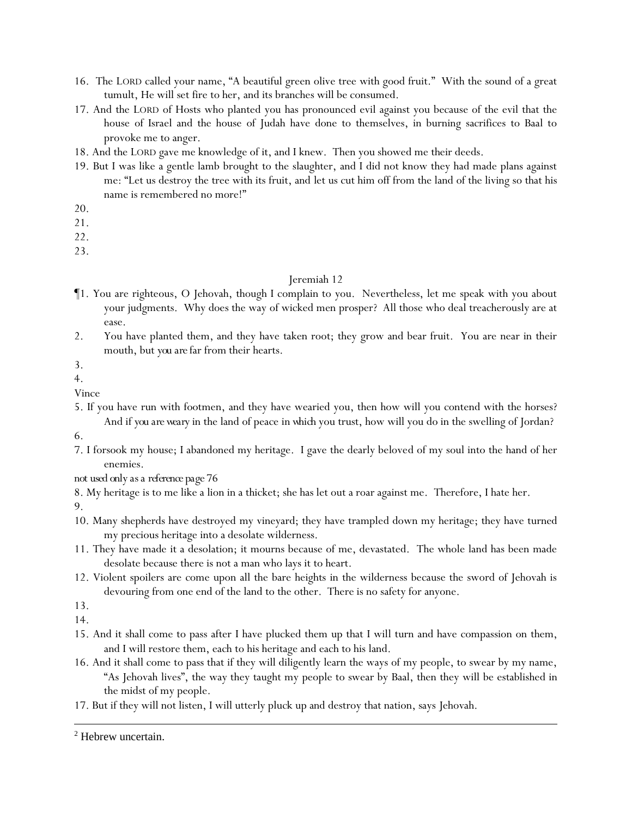- 16. The LORD called your name, "A beautiful green olive tree with good fruit." With the sound of a great tumult, He will set fire to her, and its branches will be consumed.
- 17. And the LORD of Hosts who planted you has pronounced evil against you because of the evil that the house of Israel and the house of Judah have done to themselves, in burning sacrifices to Baal to provoke me to anger.
- 18. And the LORD gave me knowledge of it, and I knew. Then you showed me their deeds.
- 19. But I was like a gentle lamb brought to the slaughter, and I did not know they had made plans against me: "Let us destroy the tree with its fruit, and let us cut him off from the land of the living so that his name is remembered no more!"
- 20.
- 21.
- 22.
- 23.

- ¶1. You are righteous, O Jehovah, though I complain to you. Nevertheless, let me speak with you about your judgments. Why does the way of wicked men prosper? All those who deal treacherously are at ease.
- 2. You have planted them, and they have taken root; they grow and bear fruit. You are near in their mouth, but *you are* far from their hearts.
- 3.
- 4.
- Vince
- 5. If you have run with footmen, and they have wearied you, then how will you contend with the horses? And *if you are weary* in the land of peace *in which* you trust, how will you do in the swelling of Jordan?
- 6.
- 7. I forsook my house; I abandoned my heritage. I gave the dearly beloved of my soul into the hand of her enemies.

*not used only as a reference page 76*

8. My heritage is to me like a lion in a thicket; she has let out a roar against me. Therefore, I hate her.

- 9.
- 10. Many shepherds have destroyed my vineyard; they have trampled down my heritage; they have turned my precious heritage into a desolate wilderness.
- 11. They have made it a desolation; it mourns because of me, devastated. The whole land has been made desolate because there is not a man who lays it to heart.
- 12. Violent spoilers are come upon all the bare heights in the wilderness because the sword of Jehovah is devouring from one end of the land to the other. There is no safety for anyone.
- 13.

14.

- 15. And it shall come to pass after I have plucked them up that I will turn and have compassion on them, and I will restore them, each to his heritage and each to his land.
- 16. And it shall come to pass that if they will diligently learn the ways of my people, to swear by my name, "As Jehovah lives", the way they taught my people to swear by Baal, then they will be established in the midst of my people.
- 17. But if they will not listen, I will utterly pluck up and destroy that nation, says Jehovah.

<sup>2</sup> Hebrew uncertain.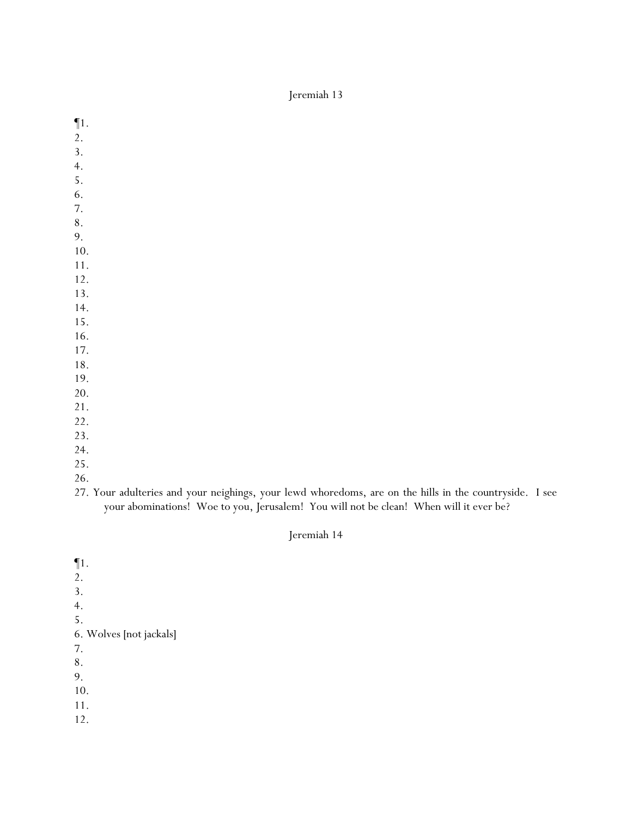- ¶1.
- 2.
- 3.
- 4.
- 5.
- 6.
- 7.
- 8.
- 9.
- 10. 11.
- 12.
- 13.
- 14.
- 15.
- 16.
- 17.
- 18.
- 19.
- 20.
- 21.
- 22.
- 23.
- 24.
- 25. 26.
- 27. Your adulteries and your neighings, your lewd whoredoms, are on the hills in the countryside. I see your abominations! Woe to you, Jerusalem! You will not be clean! When will it ever be?

## Jeremiah 14

- ¶1. 2. 3.
- 4.
- 5.
- 6. Wolves [not jackals]
- 7.
- 8.
- 9.

10.

11.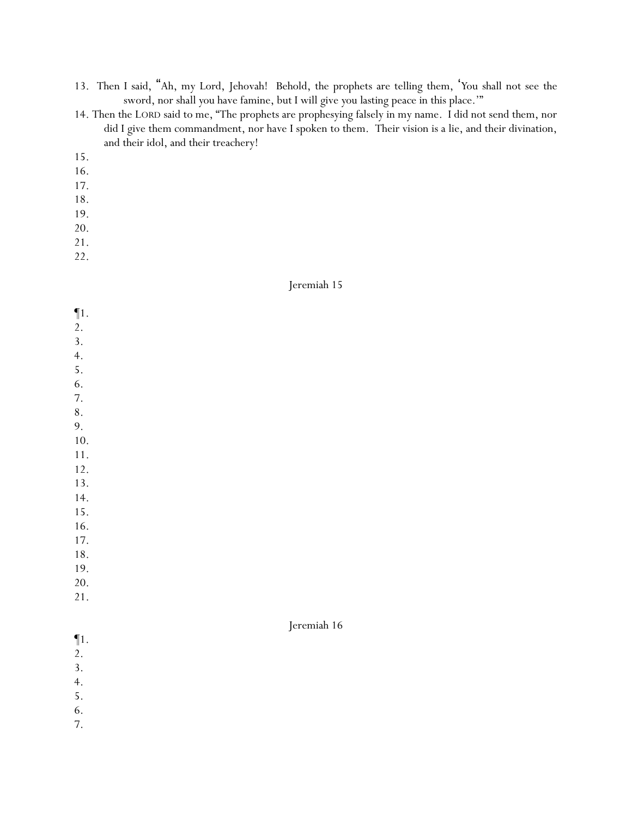13. Then I said, "Ah, my Lord, Jehovah! Behold, the prophets are telling them, '*Y*ou shall not see the sword, nor shall *y*ou have famine, but I will give *y*ou lasting peace in this place.'"

- 14. Then the LORD said to me, "The prophets are prophesying falsely in my name. I did not send them, nor did I give them commandment, nor have I spoken to them. Their vision is a lie, and their divination, and their idol, and their treachery!
- 15.
- 16.
- 17.
- 18.
- 19.
- 20.
- 21.
- 22.

| $\P1.$    |             |
|-----------|-------------|
| 2.        |             |
| 3.        |             |
| 4.        |             |
| 5.        |             |
| 6.        |             |
| 7.        |             |
| $\bf 8$ . |             |
| 9.        |             |
| 10.       |             |
| $11. \,$  |             |
| $12.$     |             |
| 13.       |             |
| 14.       |             |
| 15.       |             |
| 16.       |             |
| 17.       |             |
| $18. \,$  |             |
| 19.       |             |
| $20.$     |             |
| 21.       |             |
|           |             |
|           | Jeremiah 16 |
| $\P1.$    |             |
| 2.        |             |
| 3.        |             |
| 4.        |             |
| 5.        |             |
| 6.        |             |
| 7.        |             |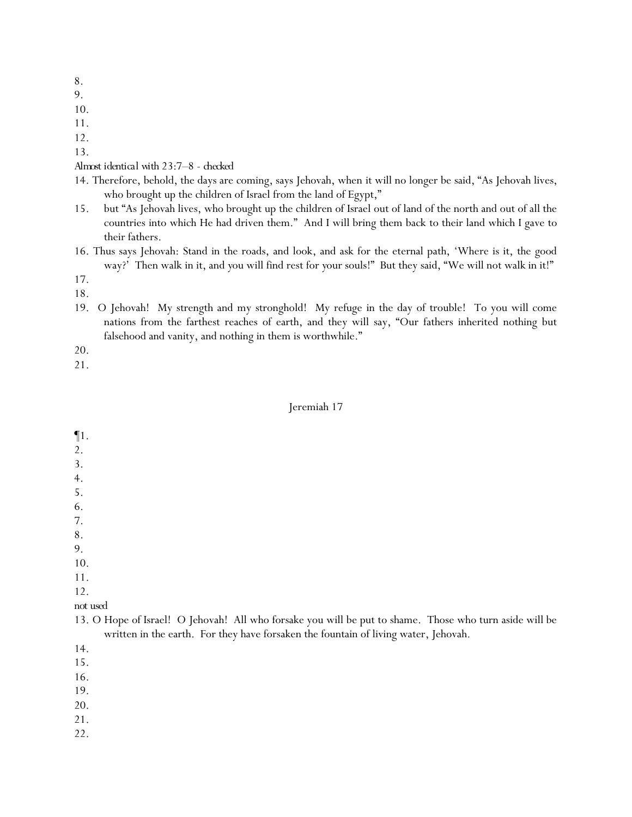- 9.
- 10.
- 11.
- 12.

13.

*Almost identical with 23:7–8 - checked*

- 14. Therefore, behold, the days are coming, says Jehovah, when it will no longer be said, "As Jehovah lives, who brought up the children of Israel from the land of Egypt,"
- 15. but "As Jehovah lives, who brought up the children of Israel out of land of the north and out of all the countries into which He had driven them." And I will bring them back to their land which I gave to their fathers.
- 16. Thus says Jehovah: Stand in the roads, and look, and ask for the eternal path, 'Where is it, the good way?' Then walk in it, and *y*ou will find rest for *y*our souls!" But they said, "We will not walk in it!"
- 17.
- 18.
- 19. O Jehovah! My strength and my stronghold! My refuge in the day of trouble! To you will come nations from the farthest reaches of earth, and they will say, "Our fathers inherited nothing but falsehood and vanity, and nothing in them is worthwhile."

20.

21.

#### Jeremiah 17

| $\P1.$           |  |  |  |
|------------------|--|--|--|
| 2.               |  |  |  |
| 3.               |  |  |  |
| 4.               |  |  |  |
| $\overline{5}$ . |  |  |  |
| 6.               |  |  |  |
| 7.               |  |  |  |
| 8.               |  |  |  |
| 9.               |  |  |  |
| 10.              |  |  |  |
| 11.              |  |  |  |
| 12.              |  |  |  |

## *not used*

13. O Hope of Israel! O Jehovah! All who forsake you will be put to shame. Those who turn aside will be written in the earth. For they have forsaken the fountain of living water, Jehovah.

14.

15.

16.

19.

20.

21.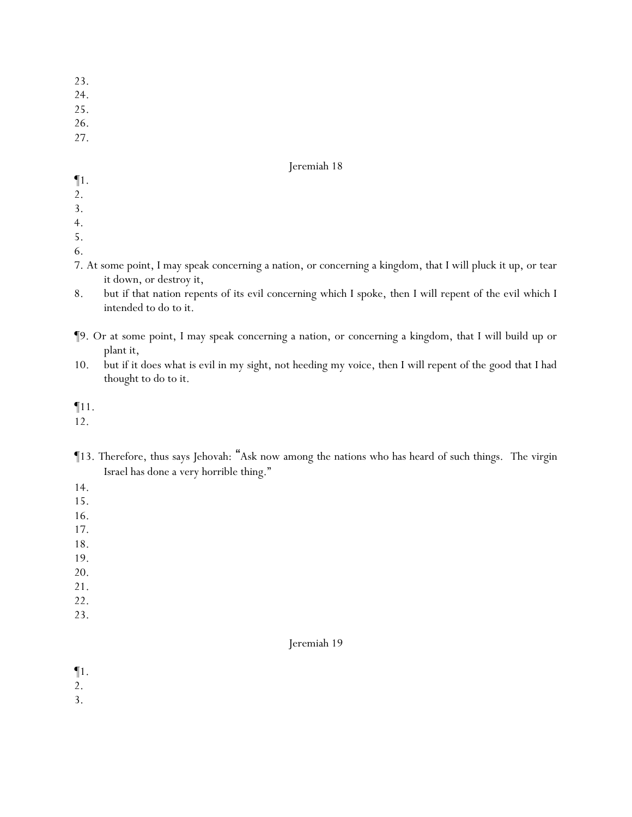- 23.
- 24.
- 25.
- 26.
- 27.

- ¶1.
- 2.
- 3.
- 4.
- 5.
- 6.
- 7. At some point, I may speak concerning a nation, or concerning a kingdom, that I will pluck it up, or tear it down, or destroy it,
- 8. but if that nation repents of its evil concerning which I spoke, then I will repent of the evil which I intended to do to it.
- ¶9. Or at some point, I may speak concerning a nation, or concerning a kingdom, that I will build up or plant it,
- 10. but if it does what is evil in my sight, not heeding my voice, then I will repent of the good that I had thought to do to it.

¶11.

12.

¶13. Therefore, thus says Jehovah: "Ask now among the nations who has heard of such things. The virgin Israel has done a very horrible thing."

14.

- 15.
- 16.
- 17.
- 18.
- 19.
- 20.
- 21.
- 22.
- 23.

## Jeremiah 19

¶1.

2.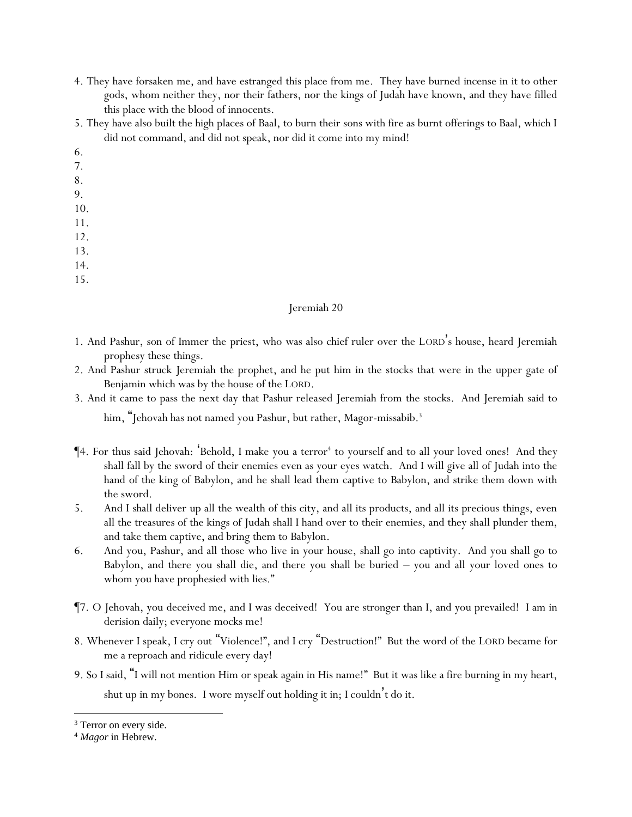- 4. They have forsaken me, and have estranged this place from me. They have burned incense in it to other gods, whom neither they, nor their fathers, nor the kings of Judah have known, and they have filled this place with the blood of innocents.
- 5. They have also built the high places of Baal, to burn their sons with fire as burnt offerings to Baal, which I did not command, and did not speak, nor did it come into my mind!
- 6.
- 7.
- 8.
- 9.
- 10.
- 11.
- 12.
- 13.
- 14.
- 15.
	-

- 1. And Pashur, son of Immer the priest, who was also chief ruler over the LORD 's house, heard Jeremiah prophesy these things.
- 2. And Pashur struck Jeremiah the prophet, and he put him in the stocks that were in the upper gate of Benjamin which was by the house of the LORD.
- 3. And it came to pass the next day that Pashur released Jeremiah from the stocks. And Jeremiah said to him, "Jehovah has not named you Pashur, but rather, Magor-missabib.<sup>3</sup>
- ¶4. For thus said Jehovah: 'Behold, I make you a terror<sup>4</sup> to yourself and to all your loved ones! And they shall fall by the sword of their enemies even as your eyes watch. And I will give all of Judah into the hand of the king of Babylon, and he shall lead them captive to Babylon, and strike them down with the sword.
- 5. And I shall deliver up all the wealth of this city, and all its products, and all its precious things, even all the treasures of the kings of Judah shall I hand over to their enemies, and they shall plunder them, and take them captive, and bring them to Babylon.
- 6. And you, Pashur, and all those who live in your house, shall go into captivity. And you shall go to Babylon, and there you shall die, and there you shall be buried – you and all your loved ones to whom you have prophesied with lies."
- ¶7. O Jehovah, you deceived me, and I was deceived! You are stronger than I, and you prevailed! I am in derision daily; everyone mocks me!
- 8. Whenever I speak, I cry out "Violence!", and I cry "Destruction!" But the word of the LORD became for me a reproach and ridicule every day!
- 9. So I said, "I will not mention Him or speak again in His name!" But it was like a fire burning in my heart, shut up in my bones. I wore myself out holding it in; I couldn't do it.

<sup>&</sup>lt;sup>3</sup> Terror on every side.

<sup>4</sup> *Magor* in Hebrew.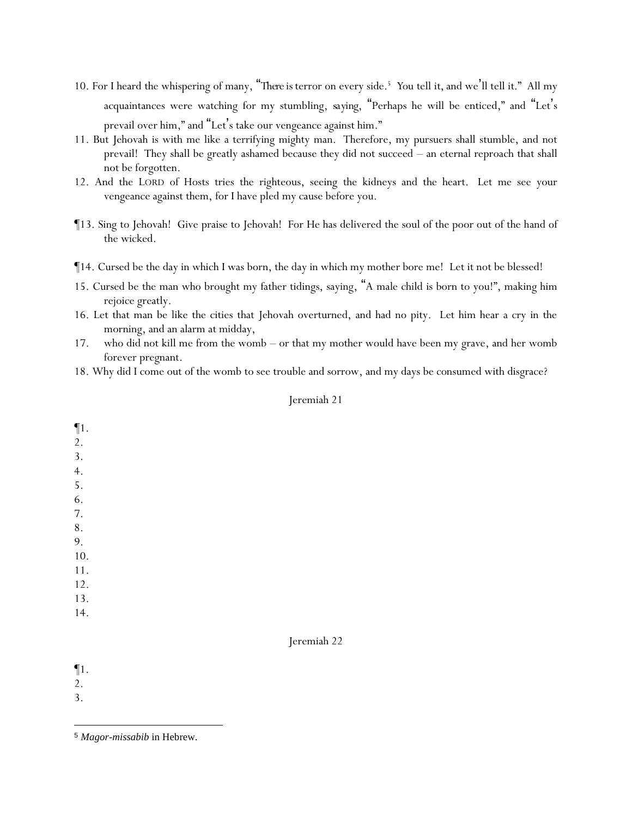- 10. For I heard the whispering of many, "*There is* terror on every side.<sup>5</sup> *Y*ou tell *it,* and we'll tell *it*." All my acquaintances were watching for my stumbling, *saying*, "Perhaps he will be enticed," and "Let's prevail over him," and "Let 's take our vengeance against him."
- 11. But Jehovah is with me like a terrifying mighty man. Therefore, my pursuers shall stumble, and not prevail! They shall be greatly ashamed because they did not succeed – an eternal reproach that shall not be forgotten.
- 12. And the LORD of Hosts tries the righteous, seeing the kidneys and the heart. Let me see your vengeance against them, for I have pled my cause before you.
- ¶13. Sing to Jehovah! Give praise to Jehovah! For He has delivered the soul of the poor out of the hand of the wicked.
- ¶14. Cursed be the day in which I was born, the day in which my mother bore me! Let it not be blessed!
- 15. Cursed be the man who brought my father tidings, saying, "A male child is born to you!", making him rejoice greatly.
- 16. Let that man be like the cities that Jehovah overturned, and had no pity. Let him hear a cry in the morning, and an alarm at midday,
- 17. who did not kill me from the womb or that my mother would have been my grave, and her womb forever pregnant.
- 18. Why did I come out of the womb to see trouble and sorrow, and my days be consumed with disgrace?

| $\P1.$   |  |             |  |
|----------|--|-------------|--|
| 2.       |  |             |  |
| 3.       |  |             |  |
|          |  |             |  |
| 4.<br>5. |  |             |  |
| 6.       |  |             |  |
| 7.       |  |             |  |
| 8.       |  |             |  |
| 9.       |  |             |  |
| 10.      |  |             |  |
| 11.      |  |             |  |
| 12.      |  |             |  |
| 13.      |  |             |  |
| 14.      |  |             |  |
|          |  |             |  |
|          |  | Jeremiah 22 |  |
|          |  |             |  |
|          |  |             |  |

¶1.

2.

<sup>5</sup> *Magor-missabib* in Hebrew.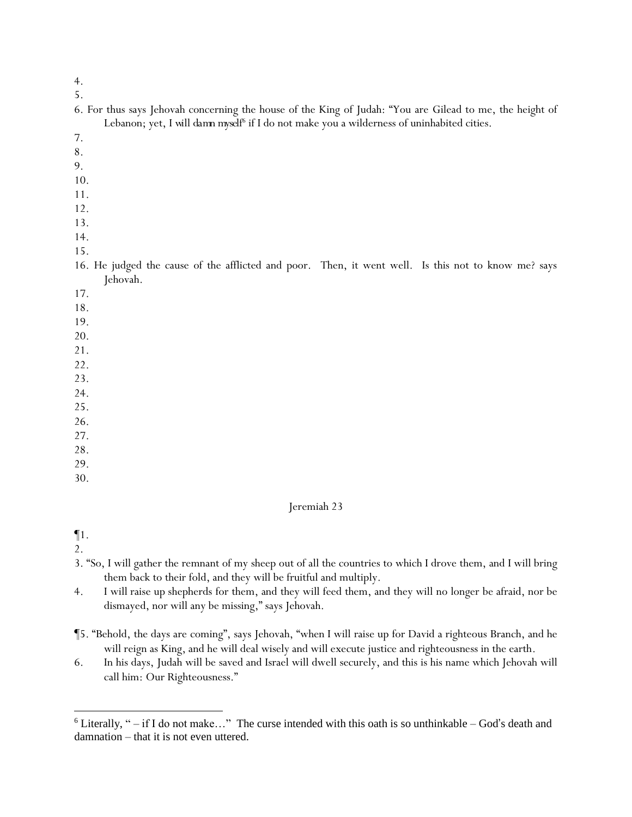- 4.
- 5.

|     | 6. For thus says Jehovah concerning the house of the King of Judah: "You are Gilead to me, the height of |
|-----|----------------------------------------------------------------------------------------------------------|
|     | Lebanon; yet, I will damn myself <sup>6</sup> if I do not make you a wilderness of uninhabited cities.   |
|     |                                                                                                          |
| 8.  |                                                                                                          |
| 9.  |                                                                                                          |
| 10. |                                                                                                          |

- 11.
- 12.
- 13.
- 14.

16. He judged the cause of the afflicted and poor. Then, it went well. Is this not to know me? says Jehovah.

17.

- 18.
- 19.
- 20.
- 21.
- 22.
- 23. 24.
- 25.
- 26.
- 27.
- 28.
- 29.
- 30.

#### Jeremiah 23

¶1.

- 3. "So, I will gather the remnant of my sheep out of all the countries to which I drove them, and I will bring them back to their fold, and they will be fruitful and multiply.
- 4. I will raise up shepherds for them, and they will feed them, and they will no longer be afraid, nor be dismayed, nor will any be missing," says Jehovah.
- ¶5. "Behold, the days are coming", says Jehovah, "when I will raise up for David a righteous Branch, and he will reign as King, and he will deal wisely and will execute justice and righteousness in the earth.
- 6. In his days, Judah will be saved and Israel will dwell securely, and this is his name which Jehovah will call him: Our Righteousness."

 $6$  Literally, " $-$  if I do not make..." The curse intended with this oath is so unthinkable  $-$  God's death and damnation – that it is not even uttered.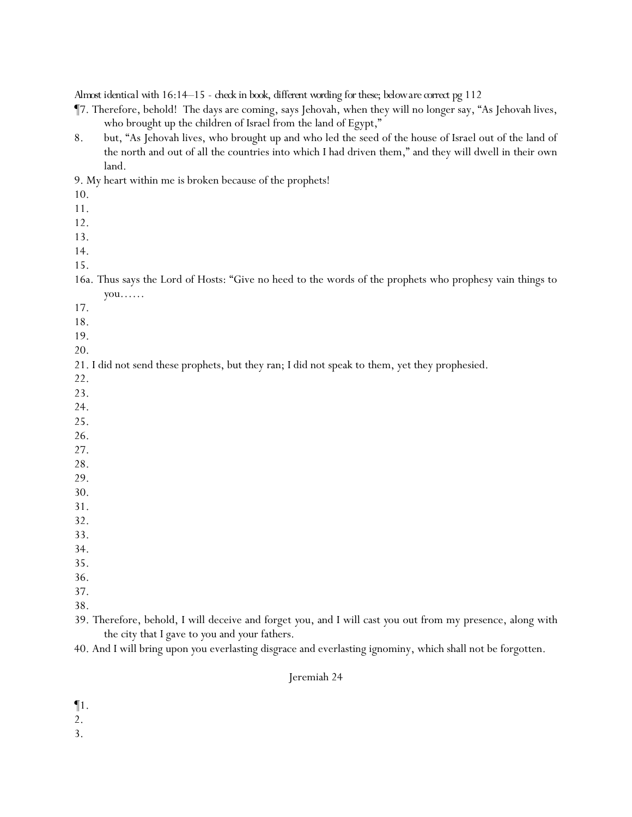*Almost identical with 16:14–15 - check in book, different wording for these; below are correct pg 112*

- ¶7. Therefore, behold! The days are coming, says Jehovah, when they will no longer say, "As Jehovah lives, who brought up the children of Israel from the land of Egypt,"
- 8. but, "As Jehovah lives, who brought up and who led the seed of the house of Israel out of the land of the north and out of all the countries into which I had driven them," and they will dwell in their own land.

9. My heart within me is broken because of the prophets!

- 10.
- 11.
- 12.
- 13.
- 14.
- 15.

16a. Thus says the Lord of Hosts: "Give no heed to the words of the prophets who prophesy vain things to *y*ou……

- 17.
- 18.
- 19.
- 20.

21. I did not send these prophets, but they ran; I did not speak to them, yet they prophesied.

- 22.
- 23.
- 24.
- 25.
- 26. 27.
- 28.
- 29.
- 30.
- 31.
- 32.
- 33.
- 34.
- 35.
- 36.
- 37.
- 38.
- 39. Therefore, behold, I will deceive and forget *y*ou, and I will cast *y*ou out from my presence, along with the city that I gave to *y*ou and *y*our fathers.
- 40. And I will bring upon *y*ou everlasting disgrace and everlasting ignominy, which shall not be forgotten.

## Jeremiah 24

¶1.

- 2.
- 3.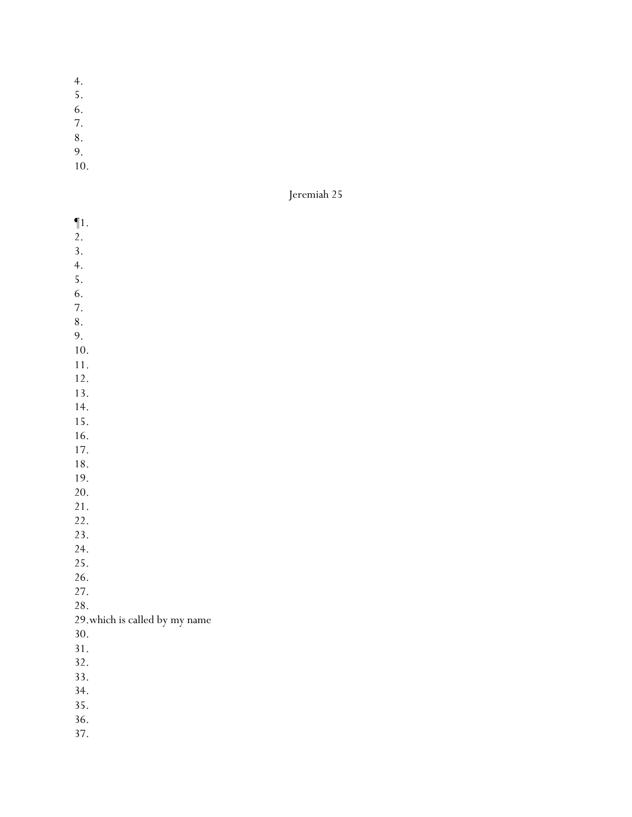- 4.
- 5.
- 6.
- 7.
- 8.
- 9.
- 10.

¶1.  $\overline{2}$ . 3. 4. 5. 6. 7. 8. 9. 10. 11. 12. 13. 14. 15. 16. 17. 18. 19. 20. 21. 22. 23. 24. 25. 26. 27. 28. 29.which is called by my name 30. 31. 32. 33. 34. 35. 36. 37.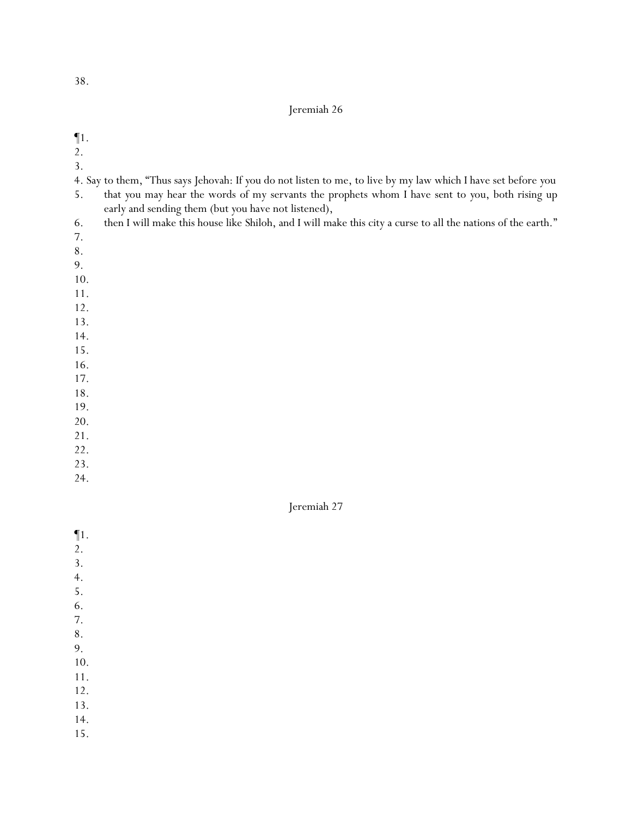### Jeremiah 26

¶1.

- 2.
- 3.
- 4. Say to them, "Thus says Jehovah: If *y*ou do not listen to me, to live by my law which I have set before *y*ou
- 5. that *y*ou may hear the words of my servants the prophets whom I have sent to *y*ou, both rising up early and sending them (but *y*ou have not listened),
- 6. then I will make this house like Shiloh, and I will make this city a curse to all the nations of the earth."
- 7.
- 8.
- 9.
- 10.
- 11.
- 12.
- 13.
- 14.
- 15.
- 16. 17.
- 18.
- 19.
- 20.
- 21.
- 22.
- 23.
- 24.

- ¶1. 2. 3. 4. 5. 6. 7. 8.
- 9.
- 10. 11.
- 12.
- 13.
- 14.
- 15.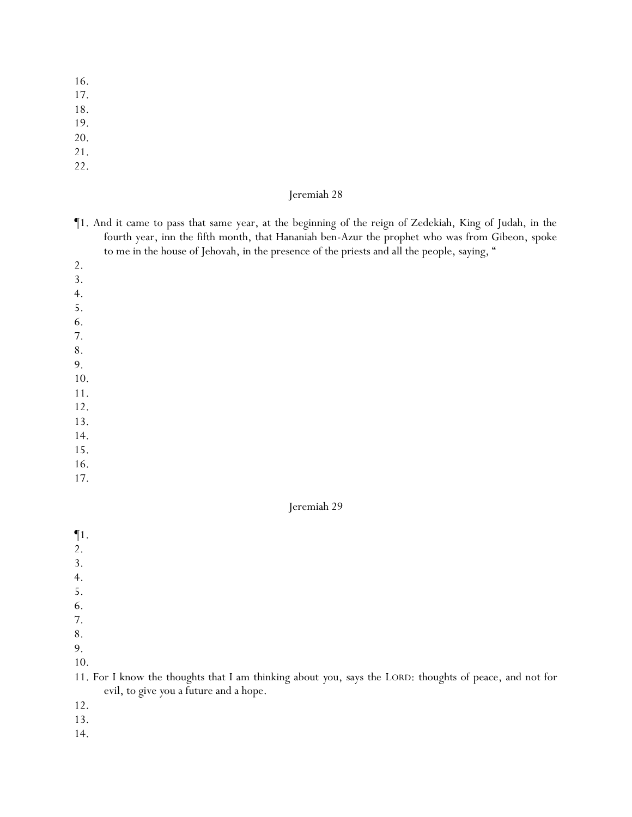- 16.
- 17.
- 18.
- 19.
- 20.
- 21.
- 22.

- ¶1. And it came to pass that same year, at the beginning of the reign of Zedekiah, King of Judah, in the fourth year, inn the fifth month, that Hananiah ben-Azur the prophet who was from Gibeon, spoke to me in the house of Jehovah, in the presence of the priests and all the people, saying, "
- 2.
- 3.
- 4.

5.

- 6.
- 7.
- 8. 9.
- 10.
- 11.
- 12.
- 13.
- 14.
- 15.
- 16.
- 17.

#### Jeremiah 29

¶1. 2. 3. 4. 5. 6. 7. 8. 9. 10. 11. For I know the thoughts that I am thinking about *y*ou, says the LORD: thoughts of peace, and not for evil, to give *y*ou a future and a hope.

- 12.
- 13.
- 14.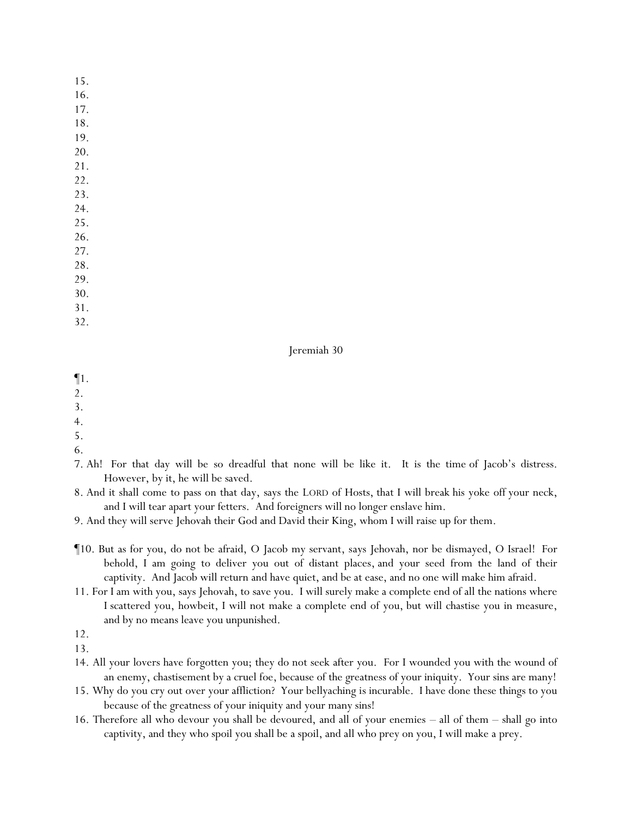- 16.
- 17.
- 18.
- 19.
- 20.
- 21. 22.
- 23.
- 24.
- 25.
- 26.
- 27.
- 28.
- 29.
- 30.
- 31.
- 32.

## Jeremiah 30

- ¶1.
- 2.

- 
- 4.
- 5.
- 6.
- 7. Ah! For that day will be so dreadful that none will be like it. It is the time of Jacob's distress. However, by it, he will be saved.
- 8. And it shall come to pass on that day, says the LORD of Hosts, that I will break his yoke off your neck, and I will tear apart your fetters. And foreigners will no longer enslave him.
- 9. And they will serve Jehovah their God and David their King, whom I will raise up for them.
- ¶10. But as for you, do not be afraid, O Jacob my servant, says Jehovah, nor be dismayed, O Israel! For behold, I am going to deliver you out of distant places, and your seed from the land of their captivity. And Jacob will return and have quiet, and be at ease, and no one will make him afraid.
- 11. For I am with you, says Jehovah, to save you. I will surely make a complete end of all the nations where I scattered you, howbeit, I will not make a complete end of you, but will chastise you in measure, and by no means leave you unpunished.

- 14. All your lovers have forgotten you; they do not seek after you. For I wounded you with the wound of an enemy, chastisement by a cruel foe, because of the greatness of your iniquity. Your sins are many!
- 15. Why do you cry out over your affliction? Your bellyaching is incurable. I have done these things to you because of the greatness of your iniquity and your many sins!
- 16. Therefore all who devour you shall be devoured, and all of your enemies all of them shall go into captivity, and they who spoil you shall be a spoil, and all who prey on you, I will make a prey.

<sup>12.</sup>

<sup>13.</sup>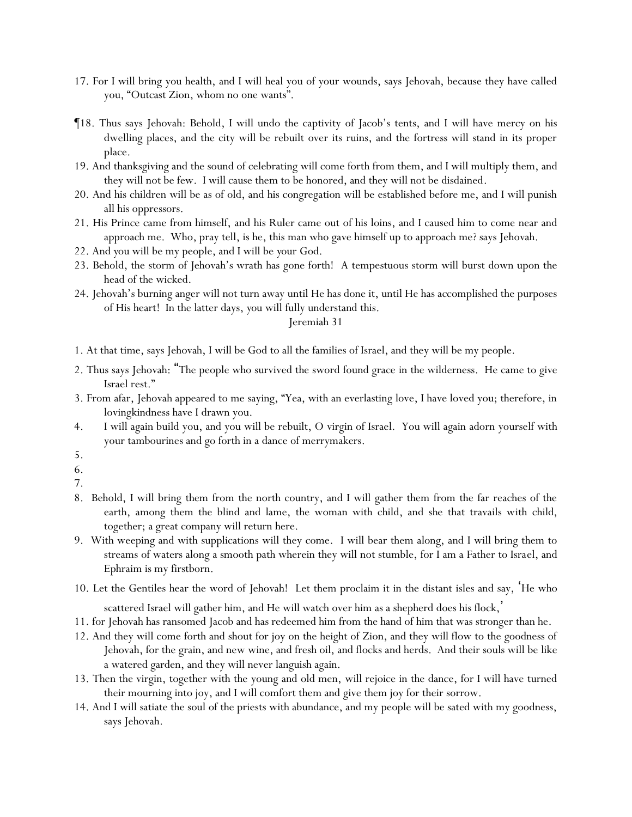- 17. For I will bring you health, and I will heal you of your wounds, says Jehovah, because they have called you, "Outcast Zion, whom no one wants".
- ¶18. Thus says Jehovah: Behold, I will undo the captivity of Jacob's tents, and I will have mercy on his dwelling places, and the city will be rebuilt over its ruins, and the fortress will stand in its proper place.
- 19. And thanksgiving and the sound of celebrating will come forth from them, and I will multiply them, and they will not be few. I will cause them to be honored, and they will not be disdained.
- 20. And his children will be as of old, and his congregation will be established before me, and I will punish all his oppressors.
- 21. His Prince came from himself, and his Ruler came out of his loins, and I caused him to come near and approach me. Who, pray tell, is he, this man who gave himself up to approach me? says Jehovah.
- 22. And *y*ou will be my people, and I will be *y*our God.
- 23. Behold, the storm of Jehovah's wrath has gone forth! A tempestuous storm will burst down upon the head of the wicked.
- 24. Jehovah's burning anger will not turn away until He has done it, until He has accomplished the purposes of His heart! In the latter days, *y*ou will fully understand this.

- 1. At that time, says Jehovah, I will be God to all the families of Israel, and they will be my people.
- 2. Thus says Jehovah: "The people who survived the sword found grace in the wilderness. He came to give Israel rest."
- 3. From afar, Jehovah appeared to me saying, "Yea, with an everlasting love, I have loved you; therefore, in lovingkindness have I drawn you.
- 4. I will again build you, and you will be rebuilt, O virgin of Israel. You will again adorn yourself with your tambourines and go forth in a dance of merrymakers.
- 5.
- 6.
- 7.
- 8. Behold, I will bring them from the north country, and I will gather them from the far reaches of the earth, among them the blind and lame, the woman with child, and she that travails with child, together; a great company will return here.
- 9. With weeping and with supplications will they come. I will bear them along, and I will bring them to streams of waters along a smooth path wherein they will not stumble, for I am a Father to Israel, and Ephraim is my firstborn.
- 10. Let the Gentiles hear the word of Jehovah! Let them proclaim it in the distant isles and say, 'He who
	- scattered Israel will gather him, and He will watch over him as a shepherd does his flock, '
- 11. for Jehovah has ransomed Jacob and has redeemed him from the hand of him that was stronger than he.
- 12. And they will come forth and shout for joy on the height of Zion, and they will flow to the goodness of Jehovah, for the grain, and new wine, and fresh oil, and flocks and herds. And their souls will be like a watered garden, and they will never languish again.
- 13. Then the virgin, together with the young and old men, will rejoice in the dance, for I will have turned their mourning into joy, and I will comfort them and give them joy for their sorrow.
- 14. And I will satiate the soul of the priests with abundance, and my people will be sated with my goodness, says Jehovah.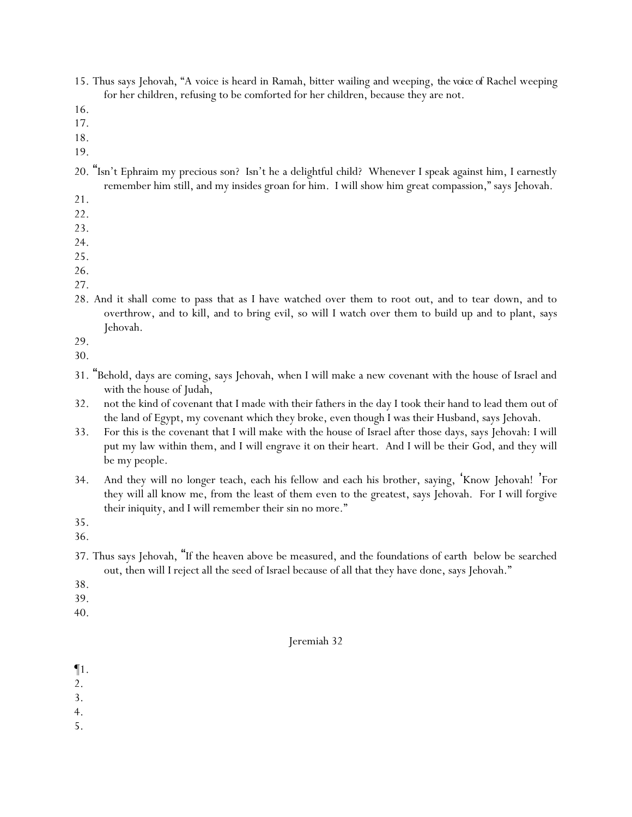- 15. Thus says Jehovah, "A voice is heard in Ramah, bitter wailing and weeping, *the voice of* Rachel weeping for her children, refusing to be comforted for her children, because they are not.
- 16.
- 17.
- 18.
- 19.
- 20. "Isn't Ephraim my precious son? Isn't he a delightful child? Whenever I speak against him, I earnestly remember him still, and my insides groan for him. I will show him great compassion," says Jehovah.
- 21.
- 22.
- 23.
- 24.
- 25.
- 26.
- 27.
- 28. And it shall come to pass that as I have watched over them to root out, and to tear down, and to overthrow, and to kill, and to bring evil, so will I watch over them to build up and to plant, says Jehovah.
- 29.
- 30.
- 31. "Behold, days are coming, says Jehovah, when I will make a new covenant with the house of Israel and with the house of Judah,
- 32. not the kind of covenant that I made with their fathers in the day I took their hand to lead them out of the land of Egypt, my covenant which they broke, even though I was their Husband, says Jehovah.
- 33. For this is the covenant that I will make with the house of Israel after those days, says Jehovah: I will put my law within them, and I will engrave it on their heart. And I will be their God, and they will be my people.
- 34. And they will no longer teach, each his fellow and each his brother, saying, 'Know Jehovah! 'For they will all know me, from the least of them even to the greatest, says Jehovah. For I will forgive their iniquity, and I will remember their sin no more."
- 35.
- 36.
- 37. Thus says Jehovah, "If the heaven above be measured, and the foundations of earth below be searched out, then will I reject all the seed of Israel because of all that they have done, says Jehovah."
- 38.
- 39.
- 40.

- ¶1.
- 2.
- 3.
- 4.
- 5.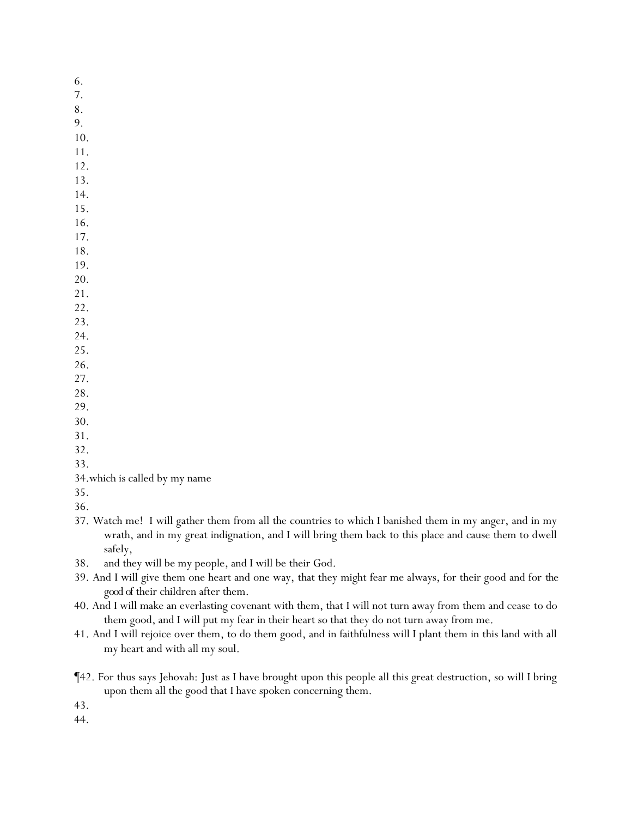- 6.
- 7.
- 8.
- 9. 10.
- 11.
- 12.
- 13.
- 14.
- 15.
- 16.
- 17.
- 18. 19.
- 20.
- 21.
- 22.
- 23.
- 24.
- 25.
- 26.
- 27.
- 28.
- 29.
- 30.
- 31.
- 32.
- 33.
- 34.which is called by my name
- 35.
- 36.
- 37. Watch me! I will gather them from all the countries to which I banished them in my anger, and in my wrath, and in my great indignation, and I will bring them back to this place and cause them to dwell safely,
- 38. and they will be my people, and I will be their God.
- 39. And I will give them one heart and one way, that they might fear me always, for their good and for *the good of* their children after them.
- 40. And I will make an everlasting covenant with them, that I will not turn away from them and cease to do them good, and I will put my fear in their heart so that they do not turn away from me.
- 41. And I will rejoice over them, to do them good, and in faithfulness will I plant them in this land with all my heart and with all my soul.
- ¶42. For thus says Jehovah: Just as I have brought upon this people all this great destruction, so will I bring upon them all the good that I have spoken concerning them.
- 43.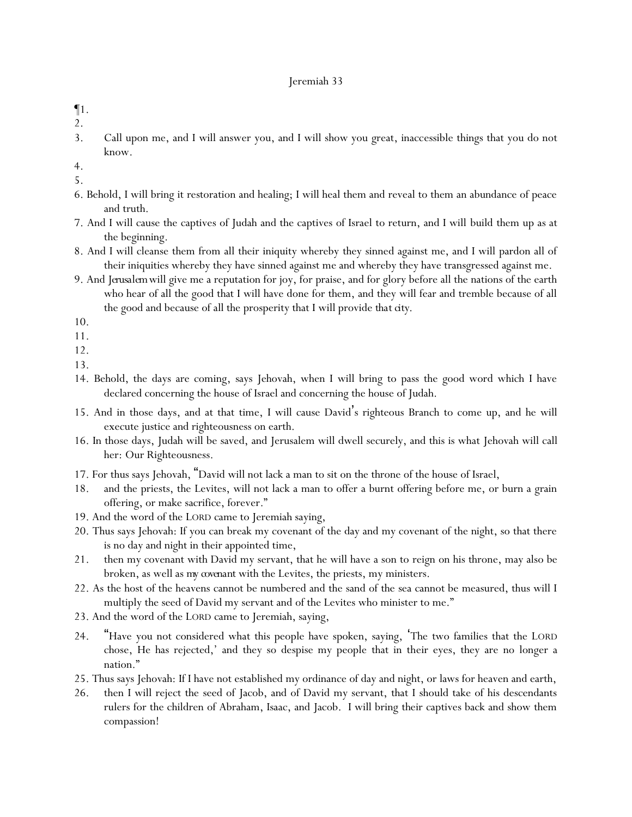- ¶1.
- 2.
- 3. Call upon me, and I will answer you, and I will show you great, inaccessible things that you do not know.
- 4.
- 5.
- 6. Behold, I will bring it restoration and healing; I will heal them and reveal to them an abundance of peace and truth.
- 7. And I will cause the captives of Judah and the captives of Israel to return, and I will build them up as at the beginning.
- 8. And I will cleanse them from all their iniquity whereby they sinned against me, and I will pardon all of their iniquities whereby they have sinned against me and whereby they have transgressed against me.
- 9. And *Jerusalem*will give me a reputation for joy, for praise, and for glory before all the nations of the earth who hear of all the good that I will have done for them, and they will fear and tremble because of all the good and because of all the prosperity that I will provide *that city*.
- 10.
- 11.
- 12.
- 13.
- 14. Behold, the days are coming, says Jehovah, when I will bring to pass the good word which I have declared concerning the house of Israel and concerning the house of Judah.
- 15. And in those days, and at that time, I will cause David's righteous Branch to come up, and he will execute justice and righteousness on earth.
- 16. In those days, Judah will be saved, and Jerusalem will dwell securely, and this is what Jehovah will call her: Our Righteousness.
- 17. For thus says Jehovah, "David will not lack a man to sit on the throne of the house of Israel,
- 18. and the priests, the Levites, will not lack a man to offer a burnt offering before me, or burn a grain offering, or make sacrifice, forever."
- 19. And the word of the LORD came to Jeremiah saying,
- 20. Thus says Jehovah: If you can break my covenant of the day and my covenant of the night, so that there is no day and night in their appointed time,
- 21. then my covenant with David my servant, that he will have a son to reign on his throne, may also be broken, as well as *my covenant* with the Levites, the priests, my ministers.
- 22. As the host of the heavens cannot be numbered and the sand of the sea cannot be measured, thus will I multiply the seed of David my servant and of the Levites who minister to me."
- 23. And the word of the LORD came to Jeremiah, saying,
- 24. "Have you not considered what this people have spoken, saying, 'The two families that the LORD chose, He has rejected,' and they so despise my people that in their eyes, they are no longer a nation."
- 25. Thus says Jehovah: If I have not established my ordinance of day and night, or laws for heaven and earth,
- 26. then I will reject the seed of Jacob, and of David my servant, that I should take of his descendants rulers for the children of Abraham, Isaac, and Jacob. I will bring their captives back and show them compassion!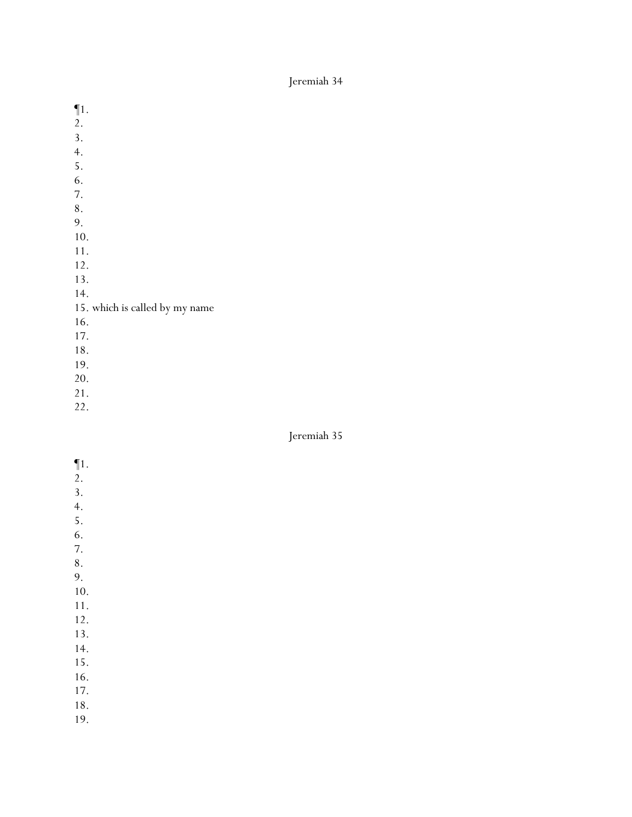- ¶1. 2. 3. 4. 5. 6. 7. 8. 9. 10. 11. 12. 13. 14. 15. which is called by my name 16. 17. 18. 19. 20.
- 21.
- 22.

- $\P1$ .
- 2.
- 3.
- 4. 5.
- 6.
- 7.
- 8.
- 9.
- 10.
- 11.
- 12.
- 13.
- 14.
- 15. 16.
- 17.
- 18.
- 
- 19.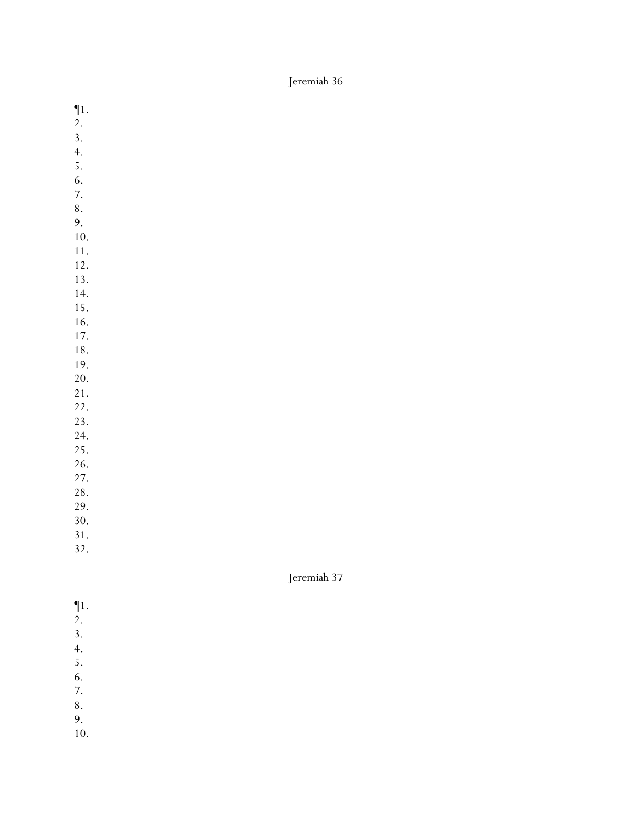- ¶1.
- 2.
- 3.
- 4.
- 5.
- 6.
- 7.
- 8.
- 9.
- 10. 11.
- 12.
- 13.
- 14.
- 15.
- 16.
- 17.
- 18.
- 19.
- 20. 21.
- 22.
- 23.

24.

25.

- 26.
- 27.
- 28.

29. 30.

31.

Jeremiah 37

- ¶1.
- 2.
- 3.
- 4.
- 5.
- 6. 7.
- 8.
- 9.
- 10.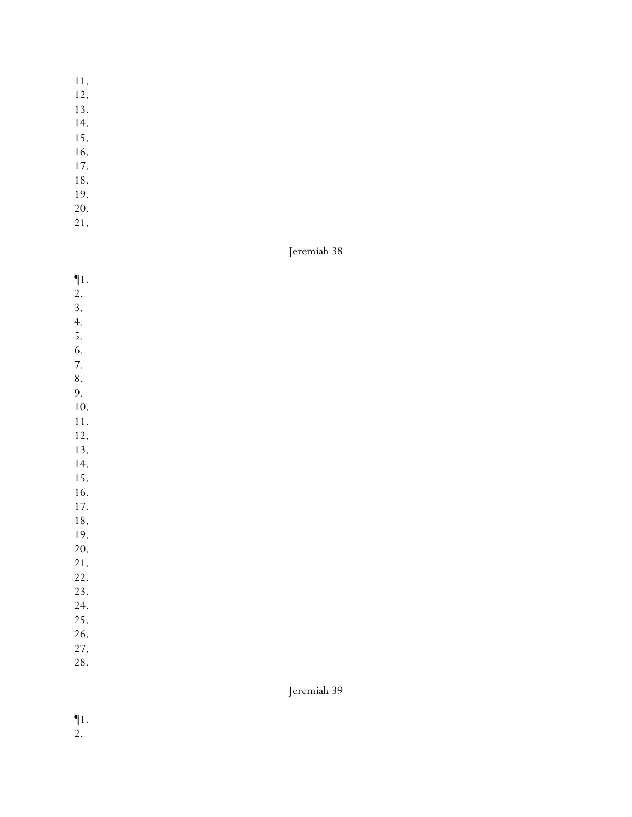- 11.
- 12.
- 13.
- 14.
- 15.
- 16.
- 17.
- 18.
- 19.
- 20.
- 21.

- ¶1.
- 2.
- 3.
- 4.
- 5.
- 6.
- 7. 8.
- 9.

10.

11.

- 12.
- 13.
- 14.
- 15.
- 16.
- 17.
- 18. 19.
- 20.

21.

- 22.
- 23.
- 24. 25.
- 26.
- 27.
- 28.

- ¶1.
- 2.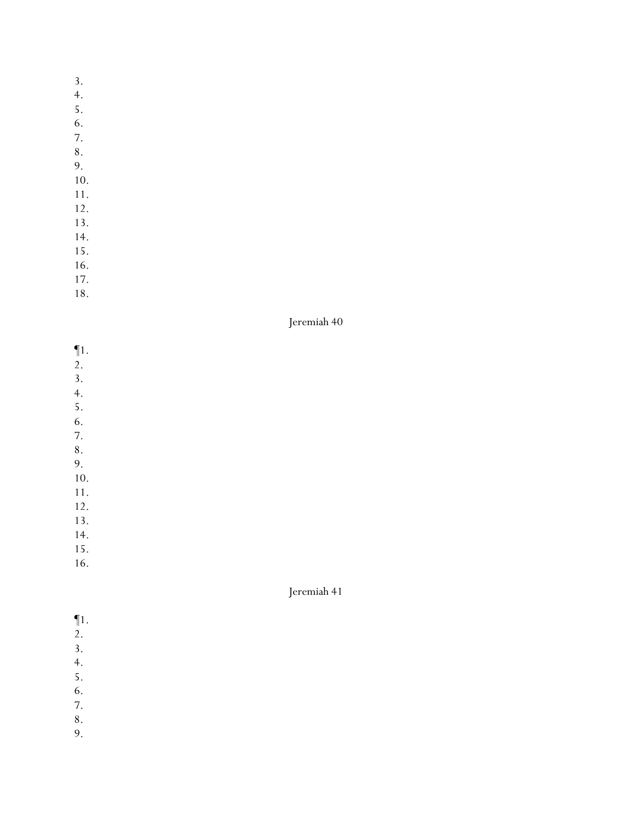- 3.
- 4.
- 5.
- 6.
- 7.
- 8.
- 9.
- 10.
- 11.
- 12. 13.
- 14.
- 15.
- 16.
- 17.
- 18.

- ¶1.
- 2.
- 3.
- 4. 5.
- 6.
- 7.
- 8.
- 9.
- 10.
- 11. 12.
- 
- 13. 14.
- 15.
- 16.

- ¶1.
- 2.
- 3.
- 4.
- 5.
- 6. 7.
- 8.
- 9.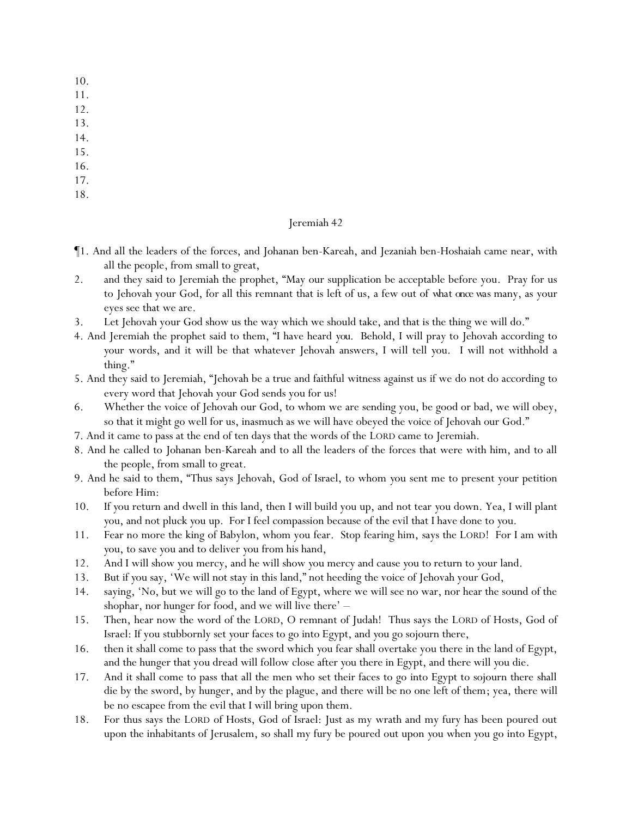- 10.
- 11.
- 12.
- 13.
- 14.
- 15.
- 16.
- 17.
- 18.

- ¶1. And all the leaders of the forces, and Johanan ben-Kareah, and Jezaniah ben-Hoshaiah came near, with all the people, from small to great,
- 2. and they said to Jeremiah the prophet, "May our supplication be acceptable before you. Pray for us to Jehovah your God, for all this remnant that is left of us, a few out of *what once was* many, as your eyes see that we are.
- 3. Let Jehovah your God show us the way which we should take, and that is the thing we will do."
- 4. And Jeremiah the prophet said to them, "I have heard *you*. Behold, I will pray to Jehovah according to *y*our words, and it will be that whatever Jehovah answers, I will tell *y*ou. I will not withhold a thing."
- 5. And they said to Jeremiah, "Jehovah be a true and faithful witness against us if we do not do according to every word that Jehovah your God sends you for us!
- 6. Whether the voice of Jehovah our God, to whom we are sending you, be good or bad, we will obey, so that it might go well for us, inasmuch as we will have obeyed the voice of Jehovah our God."
- 7. And it came to pass at the end of ten days that the words of the LORD came to Jeremiah.
- 8. And he called to Johanan ben-Kareah and to all the leaders of the forces that were with him, and to all the people, from small to great.
- 9. And he said to them, "Thus says Jehovah, God of Israel, to whom *y*ou sent me to present your petition before Him:
- 10. If *y*ou return and dwell in this land, then I will build you up, and not tear *y*ou down. Yea, I will plant *y*ou, and not pluck *y*ou up. For I feel compassion because of the evil that I have done to *y*ou.
- 11. Fear no more the king of Babylon, whom you fear. Stop fearing him, says the LORD! For I am with *y*ou, to save *y*ou and to deliver *y*ou from his hand,
- 12. And I will show *y*ou mercy, and he will show *y*ou mercy and cause *y*ou to return to *y*our land.
- 13. But if *y*ou say, 'We will not stay in this land," not heeding the voice of Jehovah your God,
- 14. saying, 'No, but we will go to the land of Egypt, where we will see no war, nor hear the sound of the shophar, nor hunger for food, and we will live there' –
- 15. Then, hear now the word of the LORD, O remnant of Judah! Thus says the LORD of Hosts, God of Israel: If you stubbornly set *y*our faces to go into Egypt, and *y*ou go sojourn there,
- 16. then it shall come to pass that the sword which *y*ou fear shall overtake you there in the land of Egypt, and the hunger that you dread will follow close after *y*ou there in Egypt, and there will *y*ou die.
- 17. And it shall come to pass that all the men who set their faces to go into Egypt to sojourn there shall die by the sword, by hunger, and by the plague, and there will be no one left of them; yea, there will be no escapee from the evil that I will bring upon them.
- 18. For thus says the LORD of Hosts, God of Israel: Just as my wrath and my fury has been poured out upon the inhabitants of Jerusalem, so shall my fury be poured out upon *y*ou when *y*ou go into Egypt,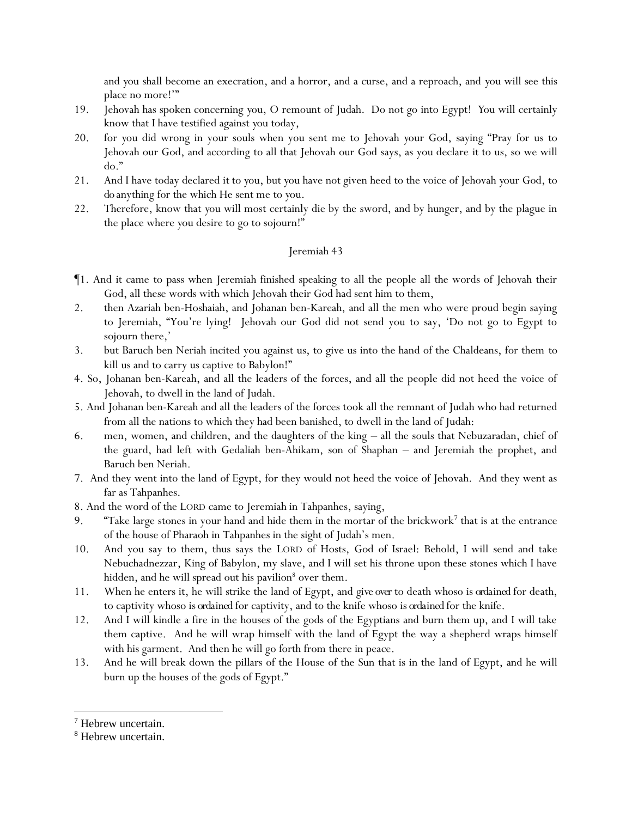and *y*ou shall become an execration, and a horror, and a curse, and a reproach, and *y*ou will see this place no more!'"

- 19. Jehovah has spoken concerning *y*ou, O remount of Judah. Do not go into Egypt! *Y*ou will certainly know that I have testified against *y*ou today,
- 20. for *y*ou did wrong in your souls when you sent me to Jehovah *y*our God, saying "Pray for us to Jehovah our God, and according to all that Jehovah our God says, as you declare *it* to us, so we will do."
- 21. And I have today declared *it* to *y*ou, but *y*ou have not given heed to the voice of Jehovah *y*our God, to *do* anything for the which He sent me to *y*ou.
- 22. Therefore, know that *y*ou will most certainly die by the sword, and by hunger, and by the plague in the place where *y*ou desire to go to sojourn!"

- ¶1. And it came to pass when Jeremiah finished speaking to all the people all the words of Jehovah their God, all these words with which Jehovah their God had sent him to them,
- 2. then Azariah ben-Hoshaiah, and Johanan ben-Kareah, and all the men who were proud begin saying to Jeremiah, "You're lying! Jehovah our God did not send you to say, 'Do not go to Egypt to sojourn there,'
- 3. but Baruch ben Neriah incited you against us, to give us into the hand of the Chaldeans, for them to kill us and to carry us captive to Babylon!"
- 4. So, Johanan ben-Kareah, and all the leaders of the forces, and all the people did not heed the voice of Jehovah, to dwell in the land of Judah.
- 5. And Johanan ben-Kareah and all the leaders of the forces took all the remnant of Judah who had returned from all the nations to which they had been banished, to dwell in the land of Judah:
- 6. men, women, and children, and the daughters of the king all the souls that Nebuzaradan, chief of the guard, had left with Gedaliah ben-Ahikam, son of Shaphan – and Jeremiah the prophet, and Baruch ben Neriah.
- 7. And they went into the land of Egypt, for they would not heed the voice of Jehovah. And they went as far as Tahpanhes.
- 8. And the word of the LORD came to Jeremiah in Tahpanhes, saying,
- 9. "Take large stones in your hand and hide them in the mortar of the brickwork<sup>7</sup> that is at the entrance of the house of Pharaoh in Tahpanhes in the sight of Judah's men.
- 10. And you say to them, thus says the LORD of Hosts, God of Israel: Behold, I will send and take Nebuchadnezzar, King of Babylon, my slave, and I will set his throne upon these stones which I have hidden, and he will spread out his pavilion<sup>8</sup> over them.
- 11. When he enters it, he will strike the land of Egypt, and *give over* to death whoso *is ordained* for death, to captivity whoso *is ordained* for captivity, and to the knife whoso *is ordained* for the knife.
- 12. And I will kindle a fire in the houses of the gods of the Egyptians and burn them up, and I will take them captive. And he will wrap himself with the land of Egypt the way a shepherd wraps himself with his garment. And then he will go forth from there in peace.
- 13. And he will break down the pillars of the House of the Sun that is in the land of Egypt, and he will burn up the houses of the gods of Egypt."

<sup>7</sup> Hebrew uncertain.

<sup>8</sup> Hebrew uncertain.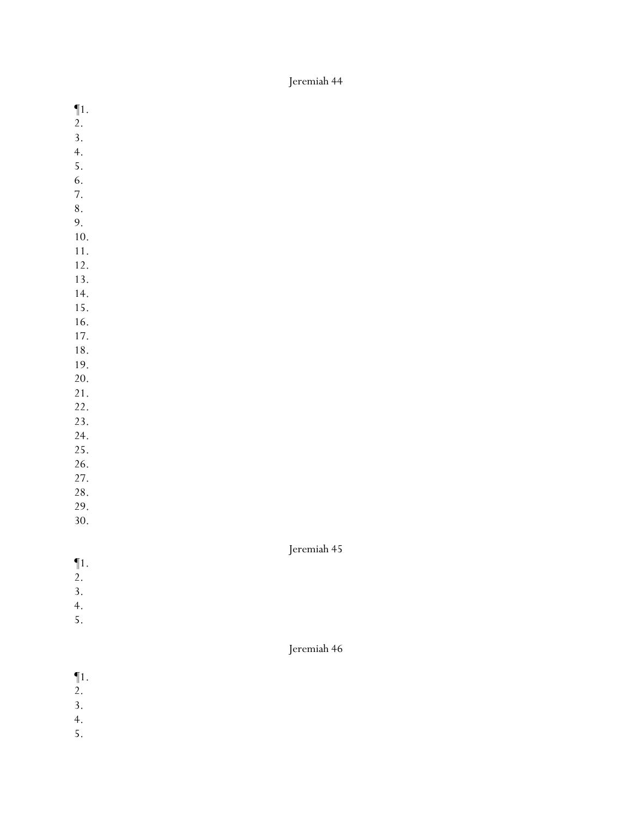- ¶1.
- 2.
- 3.
- 4.
- 5.
- 6.
- 7.
- 8.
- 9.
- 10. 11.
- 12.
- 13.
- 14.
- 15.
- 16.
- 17.
- 18.
- 19.
- 20.
- 21.
- 22. 23.
- 24.
- 25.
- 26.
- 27.
- 28.
- 29.
- 30.

## Jeremiah 45

- ¶1.
- 2.
- 3.
- 4.
- 5.

- ¶1.
- 2.
- 3.
- 4.
- 5.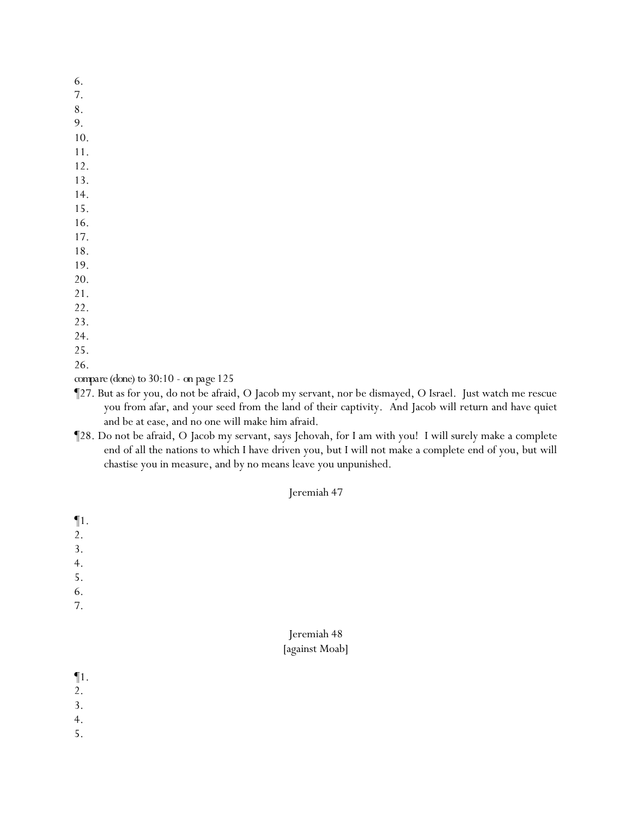- 6.
- 7.
- 8.
- 9. 10.
- 11.
- 12.
- 13.
- 14.
- 15.
- 16.
- 17.
- 18.
- 19.
- 20.
- 21.
- 22.
- 23.
- 24.
- 25.
- 26.

*compare (done) to 30:10 - on page 125*

- ¶27. But as for you, do not be afraid, O Jacob my servant, nor be dismayed, O Israel. Just watch me rescue you from afar, and your seed from the land of their captivity. And Jacob will return and have quiet and be at ease, and no one will make him afraid.
- ¶28. Do not be afraid, O Jacob my servant, says Jehovah, for I am with you! I will surely make a complete end of all the nations to which I have driven you, but I will not make a complete end of you, but will chastise you in measure, and by no means leave you unpunished.

- ¶1. 2. 3. 4. 5. 6. 7. Jeremiah 48 [against Moab]
- ¶1.
- 2.
- 3.
- 4.
- 5.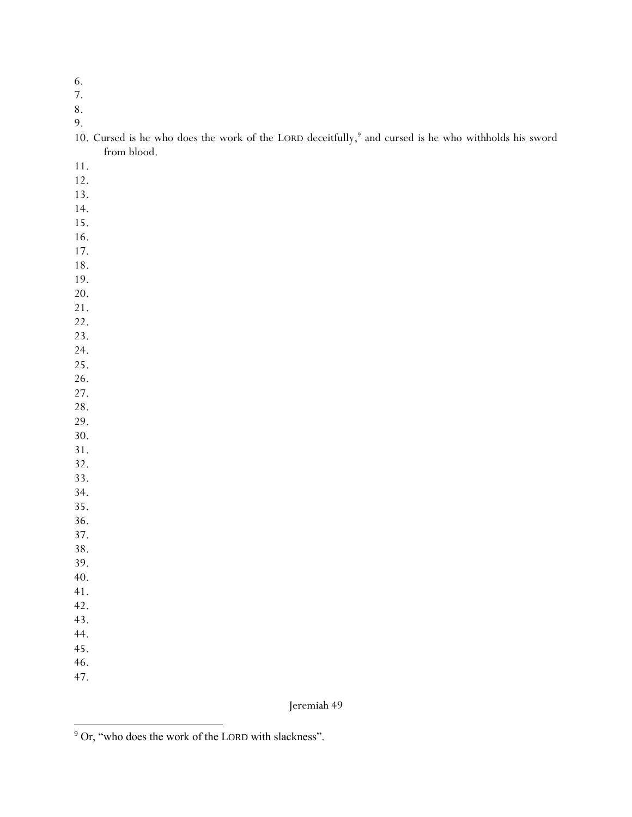- 6.
- 7.

9.

| 10. Cursed is he who does the work of the LORD deceitfully, <sup>9</sup> and cursed is he who withholds his sword |  |  |  |  |  |  |
|-------------------------------------------------------------------------------------------------------------------|--|--|--|--|--|--|
| from blood.                                                                                                       |  |  |  |  |  |  |

- 11.
- 12.
- 13.
- 14.
- 15.
- 16.
- 17.
- 18.
- 19.
- 20.
- 21.
- 22.
- 23.
- 24.
- 25.
- 26. 27.
- 28.
- 29.
- 30.
- 31.
- 32.
- 33. 34.
- 35.
- 36.
- 37.
- 38.
- 39.
- 40.
- 41.
- 42. 43.
- 44.
- 45.
- 46.
- 47.

<sup>9</sup> Or, "who does the work of the LORD with slackness".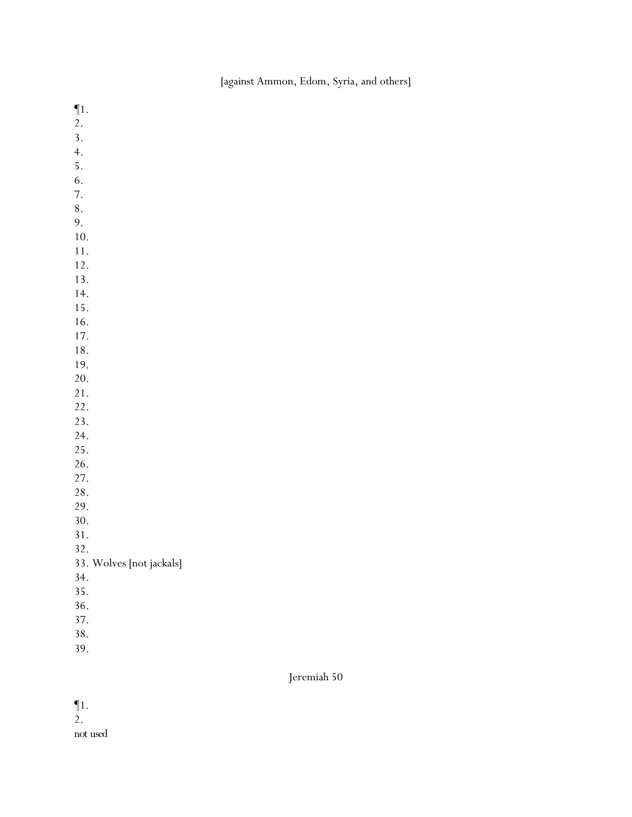[against Ammon, Edom, Syria, and others]

¶1. 2. 3. 4. 5. 6. 7. 8. 9. 10. 11. 12. 13. 14. 15. 16. 17. 18. 19. 20. 21. 22. 23. 24. 25. 26. 27. 28. 29. 30. 31. 32. 33. Wolves [not jackals] 34. 35. 36. 37. 38. 39.

Jeremiah 50

¶1. 2.

*not used*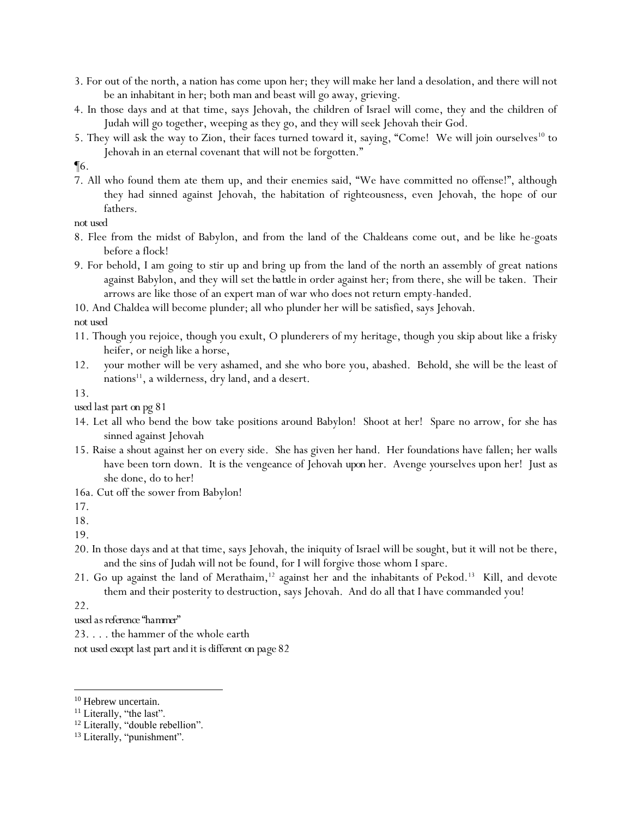- 3. For out of the north, a nation has come upon her; they will make her land a desolation, and there will not be an inhabitant in her; both man and beast will go away, grieving.
- 4. In those days and at that time, says Jehovah, the children of Israel will come, they and the children of Judah will go together, weeping as they go, and they will seek Jehovah their God.
- 5. They will ask the way to Zion, their faces turned toward it, saying, "Come! We will join ourselves<sup>10</sup> to Jehovah in an eternal covenant that will not be forgotten."
- ¶6.
- 7. All who found them ate them up, and their enemies said, "We have committed no offense!", although they had sinned against Jehovah, the habitation of righteousness, even Jehovah, the hope of our fathers.

*not used*

- 8. Flee from the midst of Babylon, and from the land of the Chaldeans come out, and be like he-goats before a flock!
- 9. For behold, I am going to stir up and bring up from the land of the north an assembly of great nations against Babylon, and they will set *the battle* in order against her; from there, she will be taken. Their arrows are like those of an expert man of war who does not return empty-handed.
- 10. And Chaldea will become plunder; all who plunder her will be satisfied, says Jehovah.

*not used*

- 11. Though you rejoice, though you exult, O plunderers of my heritage, though you skip about like a frisky heifer, or neigh like a horse,
- 12. *y*our mother will be very ashamed, and she who bore you, abashed. Behold, she will be the least of nations $^{11}$ , a wilderness, dry land, and a desert.

13.

*used last part on pg 81*

- 14. Let all who bend the bow take positions around Babylon! Shoot at her! Spare no arrow, for she has sinned against Jehovah
- 15. Raise a shout against her on every side. She has given her hand. Her foundations have fallen; her walls have been torn down. It is the vengeance of Jehovah *upon* her. Avenge *y*ourselves upon her! Just as she done, do to her!
- 16a. Cut off the sower from Babylon!

17.

18.

19.

- 20. In those days and at that time, says Jehovah, the iniquity of Israel will be sought, but it will not be there, and the sins of Judah will not be found, for I will forgive those whom I spare.
- 21. Go up against the land of Merathaim,<sup>12</sup> against her and the inhabitants of Pekod.<sup>13</sup> Kill, and devote them and their posterity to destruction, says Jehovah. And do all that I have commanded you!

22.

*used as reference "hammer"*

- 23. . . . the hammer of the whole earth
- *not used except last part and it is different on page 82*

<sup>&</sup>lt;sup>10</sup> Hebrew uncertain.

<sup>&</sup>lt;sup>11</sup> Literally, "the last".

<sup>&</sup>lt;sup>12</sup> Literally, "double rebellion".

<sup>&</sup>lt;sup>13</sup> Literally, "punishment".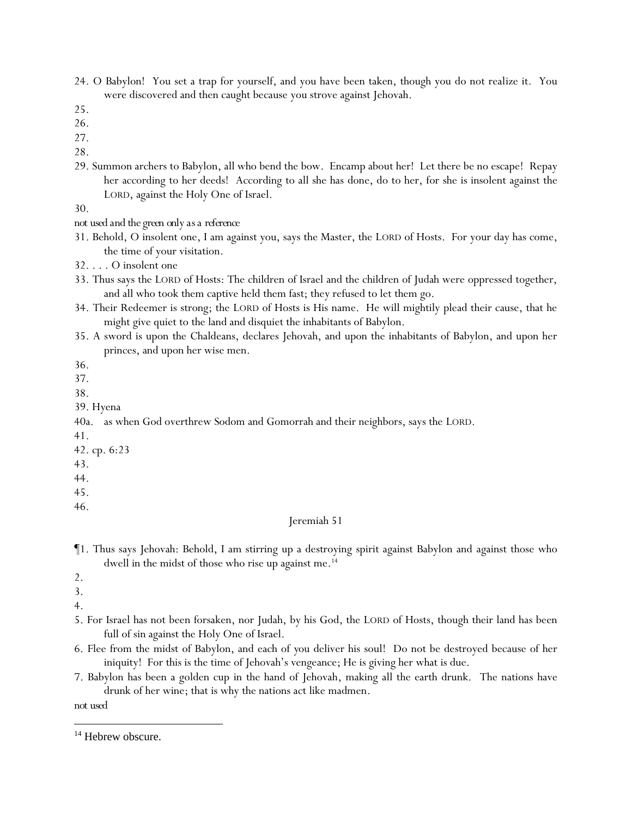24. O Babylon! You set a trap for yourself, and you have been taken, though you do not realize it. You were discovered and then caught because you strove against Jehovah.

- 26.
- 27.
- 28.
- 29. Summon archers to Babylon, all who bend the bow. Encamp about her! Let there be no escape! Repay her according to her deeds! According to all she has done, do to her, for she is insolent against the LORD, against the Holy One of Israel.

30.

*not used and the green only as a reference*

- 31. Behold, O insolent one, I am against you, says the Master, the LORD of Hosts. For your day has come, the time of your visitation.
- 32. . . . O insolent one
- 33. Thus says the LORD of Hosts: The children of Israel and the children of Judah were oppressed together, and all who took them captive held them fast; they refused to let them go.
- 34. Their Redeemer is strong; the LORD of Hosts is His name. He will mightily plead their cause, that he might give quiet to the land and disquiet the inhabitants of Babylon.
- 35. A sword is upon the Chaldeans, declares Jehovah, and upon the inhabitants of Babylon, and upon her princes, and upon her wise men.

36.

- 37.
- 38.
- 39. Hyena

40a. as when God overthrew Sodom and Gomorrah and their neighbors, says the LORD.

- 41.
- 42. cp. 6:23
- 43.
- 44.
- 45.

46.

## Jeremiah 51

- ¶1. Thus says Jehovah: Behold, I am stirring up a destroying spirit against Babylon and against those who dwell in the midst of those who rise up against me.<sup>14</sup>
- 2.
- 3.
- 4.
- 5. For Israel has not been forsaken, nor Judah, by his God, the LORD of Hosts, though their land has been full of sin against the Holy One of Israel.
- 6. Flee from the midst of Babylon, and each of *y*ou deliver his soul! Do not be destroyed because of her iniquity! For this is the time of Jehovah's vengeance; He is giving her what is due.
- 7. Babylon has been a golden cup in the hand of Jehovah, making all the earth drunk. The nations have drunk of her wine; that is why the nations act like madmen.

*not used*

<sup>25.</sup>

<sup>&</sup>lt;sup>14</sup> Hebrew obscure.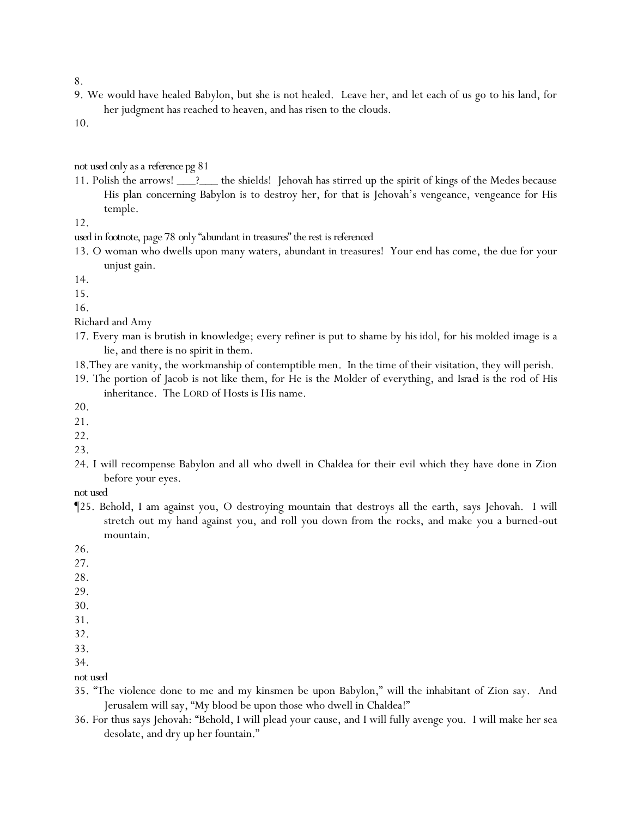9. We would have healed Babylon, but she is not healed. Leave her, and let each of us go to his land, for her judgment has reached to heaven, and has risen to the clouds.

10.

#### *not used only as a reference pg 81*

11. Polish the arrows! \_\_\_?\_\_\_ the shields! Jehovah has stirred up the spirit of kings of the Medes because His plan concerning Babylon is to destroy her, for that is Jehovah's vengeance, vengeance for His temple.

12.

*used in footnote, page 78 only "abundant in treasures" the rest is referenced*

13. O woman who dwells upon many waters, abundant in treasures! Your end has come, the due for your unjust gain.

14.

15.

16.

- Richard and Amy
- 17. Every man is brutish in knowledge; every refiner is put to shame by *his* idol, for his molded image is a lie, and there is no spirit in them.
- 18.They are vanity, the workmanship of contemptible men. In the time of their visitation, they will perish.
- 19. The portion of Jacob is not like them, for He is the Molder of everything, and *Israel is* the rod of His inheritance. The LORD of Hosts is His name.

20.

21.

22.

- 23.
- 24. I will recompense Babylon and all who dwell in Chaldea for their evil which they have done in Zion before *y*our eyes.

*not used*

¶25. Behold, I am against you, O destroying mountain that destroys all the earth, says Jehovah. I will stretch out my hand against you, and roll you down from the rocks, and make you a burned-out mountain.

26.

- 27.
- 28.
- 29.

30.

- 31. 32.
- 33.

34.

*not used*

- 35. "The violence done to me and my kinsmen be upon Babylon," will the inhabitant of Zion say. And Jerusalem will say, "My blood be upon those who dwell in Chaldea!"
- 36. For thus says Jehovah: "Behold, I will plead your cause, and I will fully avenge you. I will make her sea desolate, and dry up her fountain."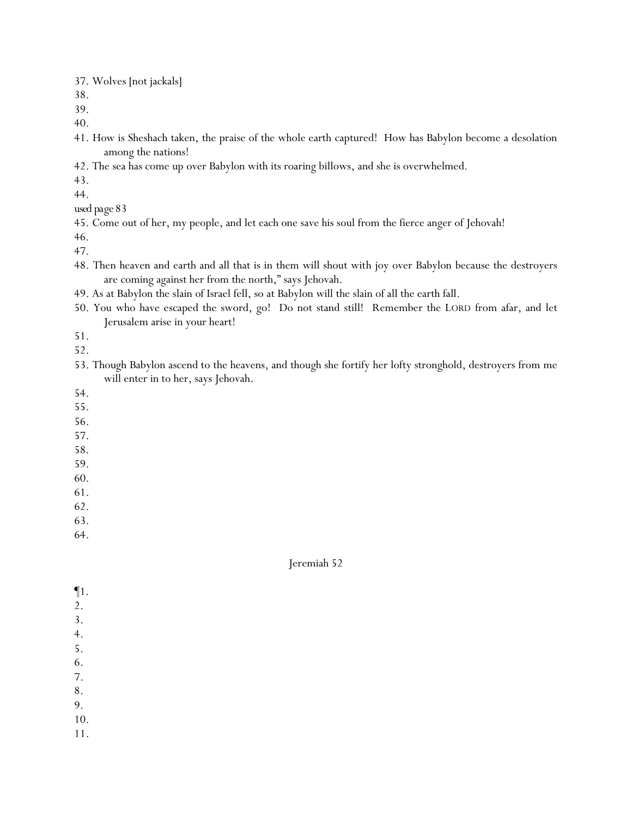37. Wolves [not jackals]

38.

39.

40.

- 41. How is Sheshach taken, the praise of the whole earth captured! How has Babylon become a desolation among the nations!
- 42. The sea has come up over Babylon with its roaring billows, and she is overwhelmed.

43.

44.

*used page 83*

45. Come out of her, my people, and let each one save his soul from the fierce anger of Jehovah!

46. 47.

- 48. Then heaven and earth and all that is in them will shout with joy over Babylon because the destroyers are coming against her from the north," says Jehovah.
- 49. As at Babylon the slain of Israel fell, so at Babylon will the slain of all the earth fall.
- 50. You who have escaped the sword, go! Do not stand still! Remember the LORD from afar, and let Jerusalem arise in your heart!

51.

52.

53. Though Babylon ascend to the heavens, and though she fortify her lofty stronghold, destroyers from me will enter in to her, says Jehovah.

54.

- 55.
- 56.
- 57.
- 58.
- 59.
- 60.
- 61.
- 62.
- 63.

64.

- ¶1.
- 2.
- 3.
- 4.
- 5.
- 6.
- 7.
- 8.
- 9.
- 10.
- 11.